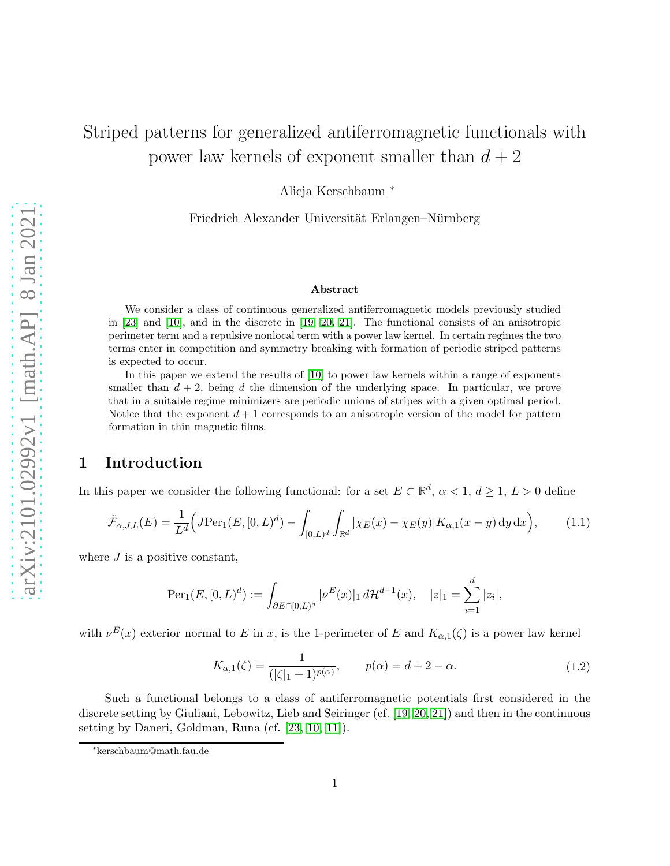## Striped patterns for generalized antiferromagnetic functionals with power law kernels of exponent smaller than  $d + 2$

Alicja Kerschbaum <sup>∗</sup>

Friedrich Alexander Universität Erlangen–Nürnberg

#### <span id="page-0-0"></span>Abstract

We consider a class of continuous generalized antiferromagnetic models previously studied in [\[23\]](#page-28-0) and [\[10\]](#page-27-0), and in the discrete in [\[19,](#page-27-1) [20,](#page-28-1) [21\]](#page-28-2). The functional consists of an anisotropic perimeter term and a repulsive nonlocal term with a power law kernel. In certain regimes the two terms enter in competition and symmetry breaking with formation of periodic striped patterns is expected to occur.

In this paper we extend the results of [\[10\]](#page-27-0) to power law kernels within a range of exponents smaller than  $d + 2$ , being d the dimension of the underlying space. In particular, we prove that in a suitable regime minimizers are periodic unions of stripes with a given optimal period. Notice that the exponent  $d+1$  corresponds to an anisotropic version of the model for pattern formation in thin magnetic films.

### 1 Introduction

In this paper we consider the following functional: for a set  $E \subset \mathbb{R}^d$ ,  $\alpha < 1$ ,  $d \ge 1$ ,  $L > 0$  define

$$
\tilde{\mathcal{F}}_{\alpha,J,L}(E) = \frac{1}{L^d} \Big( J \text{Per}_1(E, [0, L)^d) - \int_{[0, L)^d} \int_{\mathbb{R}^d} |\chi_E(x) - \chi_E(y)| K_{\alpha,1}(x - y) \, dy \, dx \Big), \tag{1.1}
$$

where  $J$  is a positive constant,

$$
\operatorname{Per}_1(E, [0, L)^d) := \int_{\partial E \cap [0, L)^d} |\nu^E(x)|_1 d\mathcal{H}^{d-1}(x), \quad |z|_1 = \sum_{i=1}^d |z_i|,
$$

with  $\nu^{E}(x)$  exterior normal to E in x, is the 1-perimeter of E and  $K_{\alpha,1}(\zeta)$  is a power law kernel

$$
K_{\alpha,1}(\zeta) = \frac{1}{(|\zeta|_1 + 1)^{p(\alpha)}}, \qquad p(\alpha) = d + 2 - \alpha.
$$
 (1.2)

Such a functional belongs to a class of antiferromagnetic potentials first considered in the discrete setting by Giuliani, Lebowitz, Lieb and Seiringer (cf. [\[19,](#page-27-1) [20,](#page-28-1) [21\]](#page-28-2)) and then in the continuous setting by Daneri, Goldman, Runa (cf. [\[23,](#page-28-0) [10,](#page-27-0) [11\]](#page-27-2)).

<sup>∗</sup> kerschbaum@math.fau.de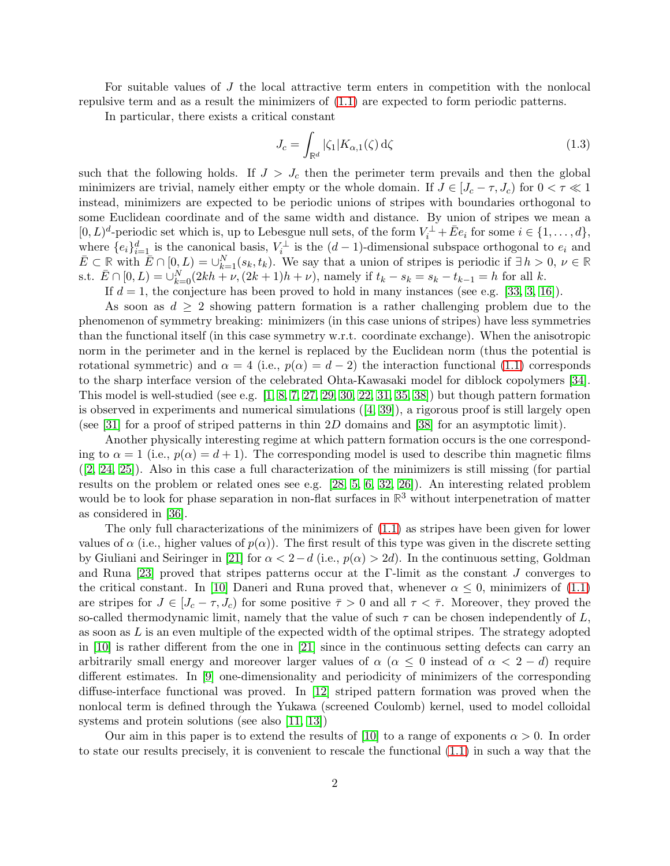For suitable values of J the local attractive term enters in competition with the nonlocal repulsive term and as a result the minimizers of [\(1.1\)](#page-0-0) are expected to form periodic patterns.

In particular, there exists a critical constant

<span id="page-1-0"></span>
$$
J_c = \int_{\mathbb{R}^d} |\zeta_1| K_{\alpha,1}(\zeta) d\zeta
$$
 (1.3)

such that the following holds. If  $J > J_c$  then the perimeter term prevails and then the global minimizers are trivial, namely either empty or the whole domain. If  $J \in [J_c - \tau, J_c)$  for  $0 < \tau \ll 1$ instead, minimizers are expected to be periodic unions of stripes with boundaries orthogonal to some Euclidean coordinate and of the same width and distance. By union of stripes we mean a  $[0, L)^d$ -periodic set which is, up to Lebesgue null sets, of the form  $V_i^{\perp} + \overline{E}e_i$  for some  $i \in \{1, ..., d\}$ , where  $\{e_i\}_{i=1}^d$  is the canonical basis,  $V_i^{\perp}$  is the  $(d-1)$ -dimensional subspace orthogonal to  $e_i$  and  $\overline{E} \subset \mathbb{R}$  with  $\overline{E} \cap [0, L) = \bigcup_{k=1}^{N} (s_k, t_k)$ . We say that a union of stripes is periodic if  $\exists h > 0, \nu \in \mathbb{R}$ s.t.  $\bar{E} \cap [0, L) = \bigcup_{k=0}^{N} (2kh + \nu, (2k+1)h + \nu)$ , namely if  $t_k - s_k = s_k - t_{k-1} = h$  for all k.

If  $d = 1$ , the conjecture has been proved to hold in many instances (see e.g. [\[33,](#page-28-3) [3,](#page-26-0) [16\]](#page-27-3)).

As soon as  $d \geq 2$  showing pattern formation is a rather challenging problem due to the phenomenon of symmetry breaking: minimizers (in this case unions of stripes) have less symmetries than the functional itself (in this case symmetry w.r.t. coordinate exchange). When the anisotropic norm in the perimeter and in the kernel is replaced by the Euclidean norm (thus the potential is rotational symmetric) and  $\alpha = 4$  (i.e.,  $p(\alpha) = d - 2$ ) the interaction functional [\(1.1\)](#page-0-0) corresponds to the sharp interface version of the celebrated Ohta-Kawasaki model for diblock copolymers [\[34\]](#page-28-4). This model is well-studied (see e.g. [\[1,](#page-26-1) [8,](#page-27-4) [7,](#page-27-5) [27,](#page-28-5) [29,](#page-28-6) [30,](#page-28-7) [22,](#page-28-8) [31,](#page-28-9) [35,](#page-28-10) [38\]](#page-29-0)) but though pattern formation is observed in experiments and numerical simulations([\[4,](#page-27-6) [39\]](#page-29-1)), a rigorous proof is still largely open (see [\[31\]](#page-28-9) for a proof of striped patterns in thin 2D domains and [\[38\]](#page-29-0) for an asymptotic limit).

Another physically interesting regime at which pattern formation occurs is the one corresponding to  $\alpha = 1$  (i.e.,  $p(\alpha) = d + 1$ ). The corresponding model is used to describe thin magnetic films  $([2, 24, 25])$  $([2, 24, 25])$  $([2, 24, 25])$  $([2, 24, 25])$  $([2, 24, 25])$ . Also in this case a full characterization of the minimizers is still missing (for partial results on the problem or related ones see e.g. [\[28,](#page-28-13) [5,](#page-27-7) [6,](#page-27-8) [32,](#page-28-14) [26\]](#page-28-15)). An interesting related problem would be to look for phase separation in non-flat surfaces in **R** <sup>3</sup> without interpenetration of matter as considered in [\[36\]](#page-28-16).

The only full characterizations of the minimizers of [\(1.1\)](#page-0-0) as stripes have been given for lower values of  $\alpha$  (i.e., higher values of  $p(\alpha)$ ). The first result of this type was given in the discrete setting by Giuliani and Seiringer in [\[21\]](#page-28-2) for  $\alpha < 2-d$  (i.e.,  $p(\alpha) > 2d$ ). In the continuous setting, Goldman and Runa [\[23\]](#page-28-0) proved that stripes patterns occur at the Γ-limit as the constant  $J$  converges to the critical constant. In [\[10\]](#page-27-0) Daneri and Runa proved that, whenever  $\alpha \leq 0$ , minimizers of [\(1.1\)](#page-0-0) are stripes for  $J \in [J_c - \tau, J_c)$  for some positive  $\bar{\tau} > 0$  and all  $\tau < \bar{\tau}$ . Moreover, they proved the so-called thermodynamic limit, namely that the value of such  $\tau$  can be chosen independently of L, as soon as  $L$  is an even multiple of the expected width of the optimal stripes. The strategy adopted in [\[10\]](#page-27-0) is rather different from the one in [\[21\]](#page-28-2) since in the continuous setting defects can carry an arbitrarily small energy and moreover larger values of  $\alpha$  ( $\alpha \leq 0$  instead of  $\alpha < 2 - d$ ) require different estimates. In [\[9\]](#page-27-9) one-dimensionality and periodicity of minimizers of the corresponding diffuse-interface functional was proved. In [\[12\]](#page-27-10) striped pattern formation was proved when the nonlocal term is defined through the Yukawa (screened Coulomb) kernel, used to model colloidal systems and protein solutions (see also [\[11,](#page-27-2) [13\]](#page-27-11))

Our aim in this paper is to extend the results of [\[10\]](#page-27-0) to a range of exponents  $\alpha > 0$ . In order to state our results precisely, it is convenient to rescale the functional [\(1.1\)](#page-0-0) in such a way that the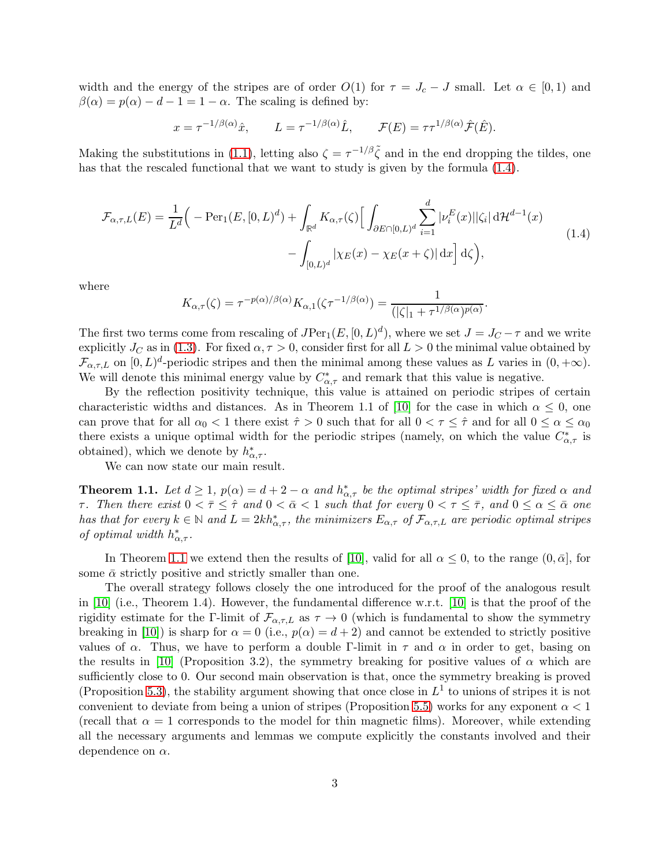width and the energy of the stripes are of order  $O(1)$  for  $\tau = J_c - J$  small. Let  $\alpha \in [0,1)$  and  $\beta(\alpha) = p(\alpha) - d - 1 = 1 - \alpha$ . The scaling is defined by:

$$
x = \tau^{-1/\beta(\alpha)}\hat{x},
$$
  $L = \tau^{-1/\beta(\alpha)}\hat{L},$   $\mathcal{F}(E) = \tau \tau^{1/\beta(\alpha)}\hat{\mathcal{F}}(\hat{E}).$ 

<span id="page-2-0"></span>Making the substitutions in [\(1.1\)](#page-0-0), letting also  $\zeta = \tau^{-1/\beta} \tilde{\zeta}$  and in the end dropping the tildes, one has that the rescaled functional that we want to study is given by the formula [\(1.4\)](#page-2-0).

$$
\mathcal{F}_{\alpha,\tau,L}(E) = \frac{1}{L^d} \Big( -\text{Per}_1(E,[0,L)^d) + \int_{\mathbb{R}^d} K_{\alpha,\tau}(\zeta) \Big[ \int_{\partial E \cap [0,L)^d} \sum_{i=1}^d |\nu_i^E(x)| |\zeta_i| \, d\mathcal{H}^{d-1}(x) - \int_{[0,L)^d} |\chi_E(x) - \chi_E(x+\zeta)| \, dx \Big] \, d\zeta \Big),\tag{1.4}
$$

where

$$
K_{\alpha,\tau}(\zeta) = \tau^{-p(\alpha)/\beta(\alpha)} K_{\alpha,1}(\zeta \tau^{-1/\beta(\alpha)}) = \frac{1}{(|\zeta|_1 + \tau^{1/\beta(\alpha)})^{p(\alpha)}}.
$$

The first two terms come from rescaling of  $JPer_1(E, [0, L)^d)$ , where we set  $J = J_C - \tau$  and we write explicitly  $J_C$  as in [\(1.3\)](#page-1-0). For fixed  $\alpha, \tau > 0$ , consider first for all  $L > 0$  the minimal value obtained by  $\mathcal{F}_{\alpha,\tau,L}$  on  $[0,L)^d$ -periodic stripes and then the minimal among these values as L varies in  $(0,+\infty)$ . We will denote this minimal energy value by  $C^*_{\alpha,\tau}$  and remark that this value is negative.

By the reflection positivity technique, this value is attained on periodic stripes of certain characteristic widths and distances. As in Theorem 1.1 of [\[10\]](#page-27-0) for the case in which  $\alpha \leq 0$ , one can prove that for all  $\alpha_0 < 1$  there exist  $\hat{\tau} > 0$  such that for all  $0 < \tau \leq \hat{\tau}$  and for all  $0 \leq \alpha \leq \alpha_0$ there exists a unique optimal width for the periodic stripes (namely, on which the value  $C^*_{\alpha,\tau}$  is obtained), which we denote by  $h^*_{\alpha,\tau}$ .

<span id="page-2-1"></span>We can now state our main result.

**Theorem 1.1.** Let  $d \geq 1$ ,  $p(\alpha) = d + 2 - \alpha$  and  $h_{\alpha,\tau}^*$  be the optimal stripes' width for fixed  $\alpha$  and τ. Then there exist  $0 < \bar{\tau} \leq \hat{\tau}$  and  $0 < \bar{\alpha} < 1$  such that for every  $0 < \tau \leq \bar{\tau}$ , and  $0 \leq \alpha \leq \bar{\alpha}$  one has that for every  $k \in \mathbb{N}$  and  $L = 2kh^*_{\alpha,\tau}$ , the minimizers  $E_{\alpha,\tau}$  of  $\mathcal{F}_{\alpha,\tau,L}$  are periodic optimal stripes of optimal width  $h^*_{\alpha,\tau}$ .

In Theorem [1.1](#page-2-1) we extend then the results of [\[10\]](#page-27-0), valid for all  $\alpha \leq 0$ , to the range  $(0, \bar{\alpha}]$ , for some  $\bar{\alpha}$  strictly positive and strictly smaller than one.

The overall strategy follows closely the one introduced for the proof of the analogous result in [\[10\]](#page-27-0) (i.e., Theorem 1.4). However, the fundamental difference w.r.t. [\[10\]](#page-27-0) is that the proof of the rigidity estimate for the Γ-limit of  $\mathcal{F}_{\alpha,\tau,L}$  as  $\tau \to 0$  (which is fundamental to show the symmetry breaking in [\[10\]](#page-27-0)) is sharp for  $\alpha = 0$  (i.e.,  $p(\alpha) = d + 2$ ) and cannot be extended to strictly positive values of  $\alpha$ . Thus, we have to perform a double Γ-limit in  $\tau$  and  $\alpha$  in order to get, basing on the results in [\[10\]](#page-27-0) (Proposition 3.2), the symmetry breaking for positive values of  $\alpha$  which are sufficiently close to 0. Our second main observation is that, once the symmetry breaking is proved (Proposition [5.3\)](#page-13-0), the stability argument showing that once close in  $L<sup>1</sup>$  to unions of stripes it is not convenient to deviate from being a union of stripes (Proposition [5.5\)](#page-17-0) works for any exponent  $\alpha < 1$ (recall that  $\alpha = 1$  corresponds to the model for thin magnetic films). Moreover, while extending all the necessary arguments and lemmas we compute explicitly the constants involved and their dependence on  $\alpha$ .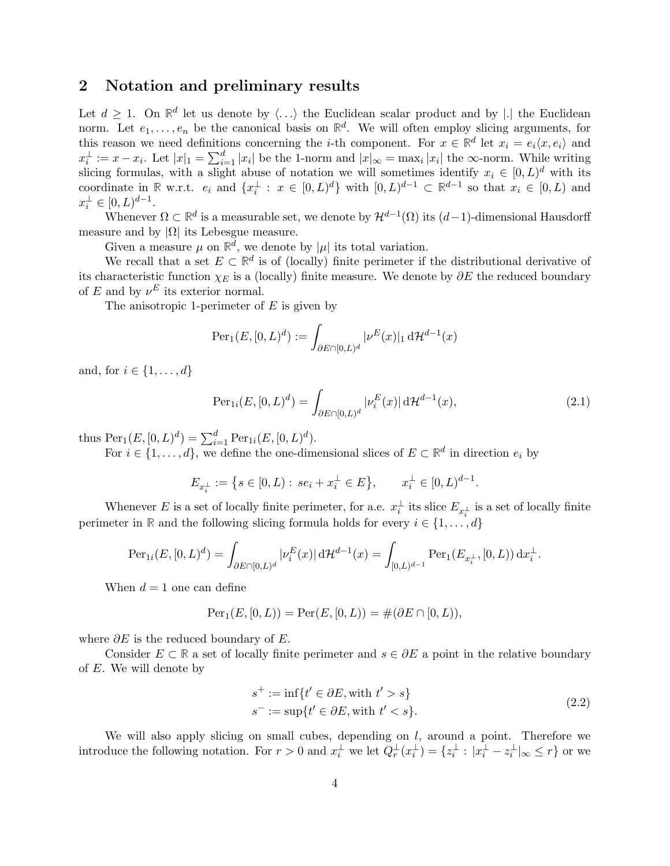## 2 Notation and preliminary results

Let  $d \geq 1$ . On  $\mathbb{R}^d$  let us denote by  $\langle \ldots \rangle$  the Euclidean scalar product and by |.| the Euclidean norm. Let  $e_1, \ldots, e_n$  be the canonical basis on  $\mathbb{R}^d$ . We will often employ slicing arguments, for this reason we need definitions concerning the *i*-th component. For  $x \in \mathbb{R}^d$  let  $x_i = e_i \langle x, e_i \rangle$  and  $x_i^{\perp} := x - x_i$ . Let  $|x|_1 = \sum_{i=1}^d |x_i|$  be the 1-norm and  $|x|_{\infty} = \max_i |x_i|$  the  $\infty$ -norm. While writing slicing formulas, with a slight abuse of notation we will sometimes identify  $x_i \in [0, L)^d$  with its coordinate in **R** w.r.t.  $e_i$  and  $\{x_i^{\perp} : x \in [0, L)^d\}$  with  $[0, L)^{d-1} \subset \mathbb{R}^{d-1}$  so that  $x_i \in [0, L)$  and  $x_i^{\perp} \in [0, L)^{d-1}.$ 

Whenever  $\Omega \subset \mathbb{R}^d$  is a measurable set, we denote by  $\mathcal{H}^{d-1}(\Omega)$  its  $(d-1)$ -dimensional Hausdorff measure and by  $|\Omega|$  its Lebesgue measure.

Given a measure  $\mu$  on  $\mathbb{R}^d$ , we denote by  $|\mu|$  its total variation.

We recall that a set  $E \subset \mathbb{R}^d$  is of (locally) finite perimeter if the distributional derivative of its characteristic function  $\chi_E$  is a (locally) finite measure. We denote by  $\partial E$  the reduced boundary of E and by  $\nu^E$  its exterior normal.

The anisotropic 1-perimeter of  $E$  is given by

$$
\operatorname{Per}_1(E, [0, L)^d) := \int_{\partial E \cap [0, L)^d} |\nu^E(x)|_1 d\mathcal{H}^{d-1}(x)
$$

and, for  $i \in \{1, \ldots, d\}$ 

$$
\text{Per}_{1i}(E, [0, L)^d) = \int_{\partial E \cap [0, L)^d} |\nu_i^E(x)| \, d\mathcal{H}^{d-1}(x),\tag{2.1}
$$

thus  $\text{Per}_1(E, [0, L)^d) = \sum_{i=1}^d \text{Per}_{1i}(E, [0, L)^d)$ .

For  $i \in \{1, \ldots, d\}$ , we define the one-dimensional slices of  $E \subset \mathbb{R}^d$  in direction  $e_i$  by

$$
E_{x_i^\perp}:=\left\{s\in [0,L):\, se_i+x_i^\perp\in E\right\},\qquad x_i^\perp\in [0,L)^{d-1}.
$$

Whenever E is a set of locally finite perimeter, for a.e.  $x_i^{\perp}$  its slice  $E_{x_i^{\perp}}$  is a set of locally finite perimeter in **R** and the following slicing formula holds for every  $i \in \{1, \ldots, d\}$ 

$$
\operatorname{Per}_{1i}(E, [0, L)^d) = \int_{\partial E \cap [0, L)^d} |\nu_i^E(x)| d\mathcal{H}^{d-1}(x) = \int_{[0, L)^{d-1}} \operatorname{Per}_1(E_{x_i^{\perp}}, [0, L)) dx_i^{\perp}.
$$

When  $d = 1$  one can define

$$
Per_1(E, [0, L)) = Per(E, [0, L)) = \#(\partial E \cap [0, L)),
$$

where  $\partial E$  is the reduced boundary of E.

Consider  $E \subset \mathbb{R}$  a set of locally finite perimeter and  $s \in \partial E$  a point in the relative boundary of E. We will denote by

<span id="page-3-0"></span>
$$
s^{+} := \inf\{t' \in \partial E, \text{with } t' > s\}
$$
  

$$
s^{-} := \sup\{t' \in \partial E, \text{with } t' < s\}. \tag{2.2}
$$

We will also apply slicing on small cubes, depending on  $l$ , around a point. Therefore we introduce the following notation. For  $r > 0$  and  $x_i^{\perp}$  we let  $Q_r^{\perp}(x_i^{\perp}) = \{z_i^{\perp} : |x_i^{\perp} - z_i^{\perp}|_{\infty} \leq r\}$  or we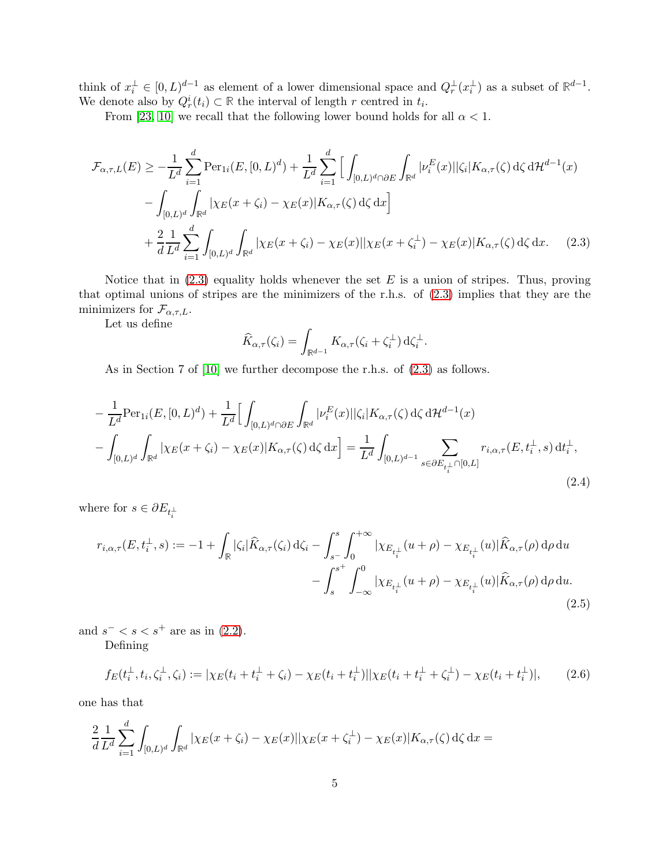think of  $x_i^{\perp} \in [0, L)^{d-1}$  as element of a lower dimensional space and  $Q_r^{\perp}(x_i^{\perp})$  as a subset of  $\mathbb{R}^{d-1}$ . We denote also by  $Q_r^i(t_i) \subset \mathbb{R}$  the interval of length r centred in  $t_i$ .

From [\[23,](#page-28-0) [10\]](#page-27-0) we recall that the following lower bound holds for all  $\alpha < 1$ .

$$
\mathcal{F}_{\alpha,\tau,L}(E) \ge -\frac{1}{L^d} \sum_{i=1}^d \text{Per}_{1i}(E, [0, L)^d) + \frac{1}{L^d} \sum_{i=1}^d \Big[ \int_{[0, L)^d \cap \partial E} \int_{\mathbb{R}^d} |\nu_i^E(x)| |\zeta_i| K_{\alpha,\tau}(\zeta) d\zeta d\mathcal{H}^{d-1}(x) \n- \int_{[0, L)^d} \int_{\mathbb{R}^d} |\chi_E(x + \zeta_i) - \chi_E(x)| K_{\alpha,\tau}(\zeta) d\zeta dx \Big] \n+ \frac{2}{d} \frac{1}{L^d} \sum_{i=1}^d \int_{[0, L)^d} \int_{\mathbb{R}^d} |\chi_E(x + \zeta_i) - \chi_E(x)| |\chi_E(x + \zeta_i^{\perp}) - \chi_E(x)| K_{\alpha,\tau}(\zeta) d\zeta dx. \tag{2.3}
$$

Notice that in  $(2.3)$  equality holds whenever the set E is a union of stripes. Thus, proving that optimal unions of stripes are the minimizers of the r.h.s. of [\(2.3\)](#page-4-0) implies that they are the minimizers for  $\mathcal{F}_{\alpha,\tau,L}$ .

Let us define

<span id="page-4-0"></span>
$$
\widehat{K}_{\alpha,\tau}(\zeta_i) = \int_{\mathbb{R}^{d-1}} K_{\alpha,\tau}(\zeta_i + \zeta_i^{\perp}) \,\mathrm{d}\zeta_i^{\perp}.
$$

<span id="page-4-1"></span>As in Section 7 of [\[10\]](#page-27-0) we further decompose the r.h.s. of [\(2.3\)](#page-4-0) as follows.

$$
-\frac{1}{L^{d}}\text{Per}_{1i}(E,[0,L)^{d}) + \frac{1}{L^{d}}\Big[\int_{[0,L)^{d}\cap\partial E}\int_{\mathbb{R}^{d}}|\nu_{i}^{E}(x)||\zeta_{i}|K_{\alpha,\tau}(\zeta)\,d\zeta\,d\mathcal{H}^{d-1}(x) -\int_{[0,L)^{d}}\int_{\mathbb{R}^{d}}|\chi_{E}(x+\zeta_{i})-\chi_{E}(x)|K_{\alpha,\tau}(\zeta)\,d\zeta\,dx\Big] = \frac{1}{L^{d}}\int_{[0,L)^{d-1}}\sum_{s\in\partial E_{t_{i}^{\perp}}\cap[0,L]}r_{i,\alpha,\tau}(E,t_{i}^{\perp},s)\,dt_{i}^{\perp},
$$
\n(2.4)

where for  $s \in \partial E_{t_i^{\perp}}$ 

<span id="page-4-2"></span>
$$
r_{i,\alpha,\tau}(E, t_i^{\perp}, s) := -1 + \int_{\mathbb{R}} |\zeta_i| \widehat{K}_{\alpha,\tau}(\zeta_i) d\zeta_i - \int_{s^-}^{s} \int_0^{+\infty} |\chi_{E_{t_i^{\perp}}} (u + \rho) - \chi_{E_{t_i^{\perp}}} (u) | \widehat{K}_{\alpha,\tau}(\rho) d\rho du - \int_{s}^{s^+} \int_{-\infty}^{0} |\chi_{E_{t_i^{\perp}}} (u + \rho) - \chi_{E_{t_i^{\perp}}} (u) | \widehat{K}_{\alpha,\tau}(\rho) d\rho du.
$$
\n(2.5)

and  $s^- < s < s^+$  are as in [\(2.2\)](#page-3-0). Defining

$$
f_E(t_i^{\perp}, t_i, \zeta_i^{\perp}, \zeta_i) := |\chi_E(t_i + t_i^{\perp} + \zeta_i) - \chi_E(t_i + t_i^{\perp})| |\chi_E(t_i + t_i^{\perp} + \zeta_i^{\perp}) - \chi_E(t_i + t_i^{\perp})|,
$$
(2.6)

one has that

$$
\frac{2}{d} \frac{1}{L^d} \sum_{i=1}^d \int_{[0,L)^d} \int_{\mathbb{R}^d} |\chi_E(x + \zeta_i) - \chi_E(x)| |\chi_E(x + \zeta_i^{\perp}) - \chi_E(x)| K_{\alpha,\tau}(\zeta) d\zeta dx =
$$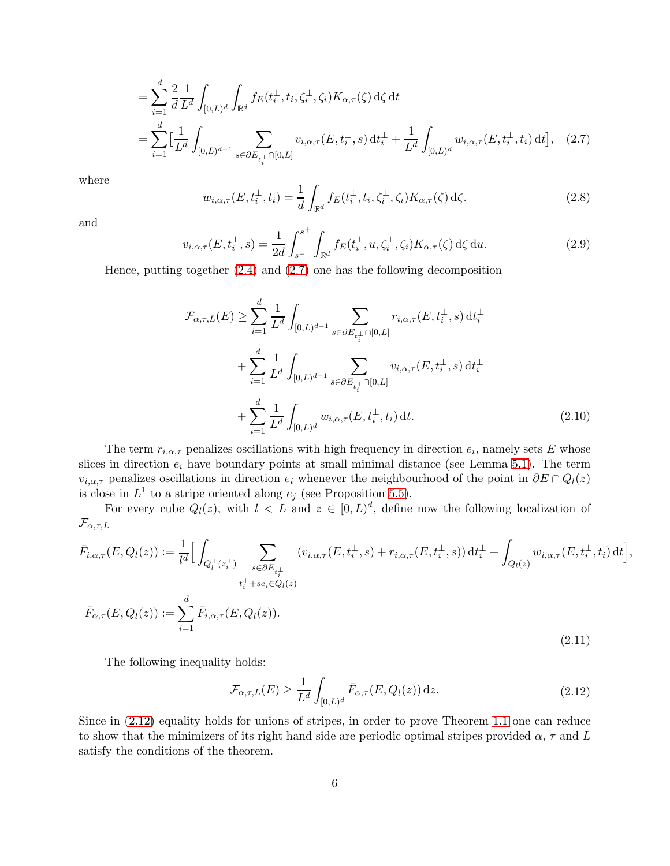$$
= \sum_{i=1}^{d} \frac{2}{d} \frac{1}{L^{d}} \int_{[0,L)^{d}} \int_{\mathbb{R}^{d}} f_{E}(t_{i}^{\perp}, t_{i}, \zeta_{i}^{\perp}, \zeta_{i}) K_{\alpha, \tau}(\zeta) d\zeta dt
$$
  

$$
= \sum_{i=1}^{d} \Big[ \frac{1}{L^{d}} \int_{[0,L)^{d-1}} \sum_{s \in \partial E_{t_{i}^{\perp}} \cap [0,L]} v_{i,\alpha, \tau}(E, t_{i}^{\perp}, s) dt_{i}^{\perp} + \frac{1}{L^{d}} \int_{[0,L)^{d}} w_{i,\alpha, \tau}(E, t_{i}^{\perp}, t_{i}) dt \Big], \quad (2.7)
$$

where

<span id="page-5-0"></span>
$$
w_{i,\alpha,\tau}(E,t_i^{\perp},t_i) = \frac{1}{d} \int_{\mathbb{R}^d} f_E(t_i^{\perp},t_i,\zeta_i^{\perp},\zeta_i) K_{\alpha,\tau}(\zeta) d\zeta.
$$
 (2.8)

and

$$
v_{i,\alpha,\tau}(E,t_i^{\perp},s) = \frac{1}{2d} \int_{s^-}^{s^+} \int_{\mathbb{R}^d} f_E(t_i^{\perp}, u, \zeta_i^{\perp}, \zeta_i) K_{\alpha,\tau}(\zeta) d\zeta du.
$$
 (2.9)

Hence, putting together [\(2.4\)](#page-4-1) and [\(2.7\)](#page-5-0) one has the following decomposition

<span id="page-5-2"></span>
$$
\mathcal{F}_{\alpha,\tau,L}(E) \geq \sum_{i=1}^{d} \frac{1}{L^d} \int_{[0,L)^{d-1}} \sum_{s \in \partial E_{t_i}(\cdot)} r_{i,\alpha,\tau}(E, t_i^{\perp}, s) dt_i^{\perp} \n+ \sum_{i=1}^{d} \frac{1}{L^d} \int_{[0,L)^{d-1}} \sum_{s \in \partial E_{t_i}(\cdot)} v_{i,\alpha,\tau}(E, t_i^{\perp}, s) dt_i^{\perp} \n+ \sum_{i=1}^{d} \frac{1}{L^d} \int_{[0,L)^d} w_{i,\alpha,\tau}(E, t_i^{\perp}, t_i) dt.
$$
\n(2.10)

The term  $r_{i,\alpha,\tau}$  penalizes oscillations with high frequency in direction  $e_i$ , namely sets E whose slices in direction  $e_i$  have boundary points at small minimal distance (see Lemma [5.1\)](#page-11-0). The term  $v_{i,\alpha,\tau}$  penalizes oscillations in direction  $e_i$  whenever the neighbourhood of the point in  $\partial E \cap Q_l(z)$ is close in  $L^1$  to a stripe oriented along  $e_j$  (see Proposition [5.5\)](#page-17-0).

<span id="page-5-3"></span>For every cube  $Q_l(z)$ , with  $l \leq L$  and  $z \in [0, L)^d$ , define now the following localization of  $\mathcal{F}_{\alpha,\tau,L}$ 

$$
\bar{F}_{i,\alpha,\tau}(E, Q_l(z)) := \frac{1}{l^d} \Big[ \int_{Q_l^{\perp}(z_i^{\perp})} \sum_{\substack{s \in \partial E_{t_i^{\perp}} \\ t_i^{\perp} + s e_i \in Q_l(z)}} (v_{i,\alpha,\tau}(E, t_i^{\perp}, s) + r_{i,\alpha,\tau}(E, t_i^{\perp}, s)) dt_i^{\perp} + \int_{Q_l(z)} w_{i,\alpha,\tau}(E, t_i^{\perp}, t_i) dt \Big],
$$
\n
$$
\bar{F}_{\alpha,\tau}(E, Q_l(z)) := \sum_{i=1}^d \bar{F}_{i,\alpha,\tau}(E, Q_l(z)).
$$
\n(2.11)

The following inequality holds:

<span id="page-5-1"></span>
$$
\mathcal{F}_{\alpha,\tau,L}(E) \ge \frac{1}{L^d} \int_{[0,L)^d} \bar{F}_{\alpha,\tau}(E, Q_l(z)) \,\mathrm{d}z. \tag{2.12}
$$

Since in [\(2.12\)](#page-5-1) equality holds for unions of stripes, in order to prove Theorem [1.1](#page-2-1) one can reduce to show that the minimizers of its right hand side are periodic optimal stripes provided  $\alpha$ ,  $\tau$  and L satisfy the conditions of the theorem.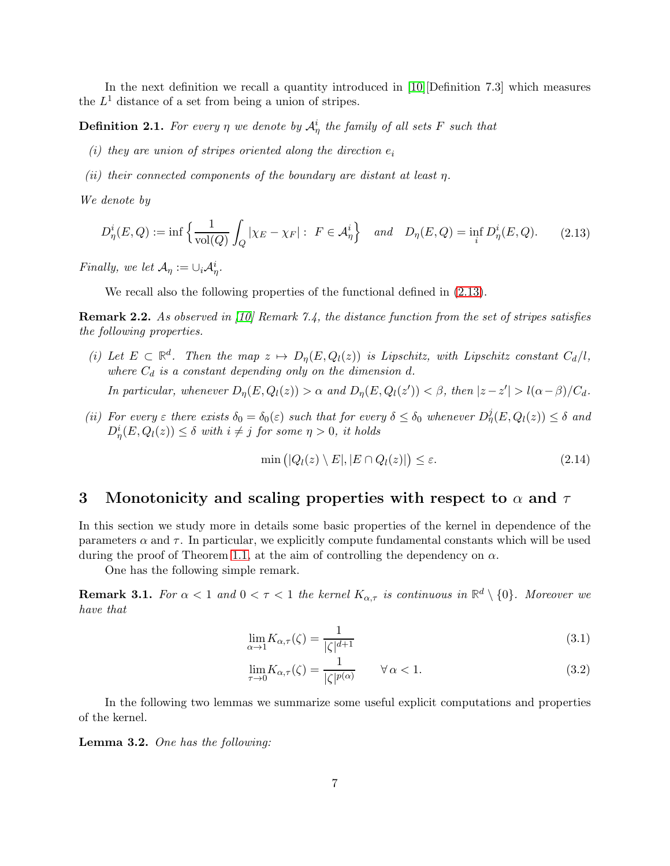In the next definition we recall a quantity introduced in [\[10\]](#page-27-0)[Definition 7.3] which measures the  $L^1$  distance of a set from being a union of stripes.

**Definition 2.1.** For every  $\eta$  we denote by  $\mathcal{A}^i_{\eta}$  the family of all sets F such that

- (i) they are union of stripes oriented along the direction  $e_i$
- (ii) their connected components of the boundary are distant at least  $\eta$ .

We denote by

<span id="page-6-0"></span>
$$
D_{\eta}^{i}(E,Q) := \inf \left\{ \frac{1}{\text{vol}(Q)} \int_{Q} |\chi_{E} - \chi_{F}| : F \in \mathcal{A}_{\eta}^{i} \right\} \quad and \quad D_{\eta}(E,Q) = \inf_{i} D_{\eta}^{i}(E,Q). \tag{2.13}
$$

Finally, we let  $\mathcal{A}_{\eta} := \cup_i \mathcal{A}_{\eta}^i$ .

We recall also the following properties of the functional defined in [\(2.13\)](#page-6-0).

<span id="page-6-3"></span>Remark 2.2. As observed in [\[10\]](#page-27-0) Remark 7.4, the distance function from the set of stripes satisfies the following properties.

(i) Let  $E \subset \mathbb{R}^d$ . Then the map  $z \mapsto D_\eta(E, Q_l(z))$  is Lipschitz, with Lipschitz constant  $C_d/l$ , where  $C_d$  is a constant depending only on the dimension d.

In particular, whenever  $D_{\eta}(E, Q_l(z)) > \alpha$  and  $D_{\eta}(E, Q_l(z')) < \beta$ , then  $|z - z'| > l(\alpha - \beta)/C_d$ .

(ii) For every  $\varepsilon$  there exists  $\delta_0 = \delta_0(\varepsilon)$  such that for every  $\delta \leq \delta_0$  whenever  $D^j_\eta(E, Q_l(z)) \leq \delta$  and  $D^i_\eta(E, Q_l(z)) \leq \delta$  with  $i \neq j$  for some  $\eta > 0$ , it holds

$$
\min\left(|Q_l(z)\setminus E|, |E\cap Q_l(z)|\right) \le \varepsilon. \tag{2.14}
$$

## <span id="page-6-1"></span>3 Monotonicity and scaling properties with respect to  $\alpha$  and  $\tau$

In this section we study more in details some basic properties of the kernel in dependence of the parameters  $\alpha$  and  $\tau$ . In particular, we explicitly compute fundamental constants which will be used during the proof of Theorem [1.1,](#page-2-1) at the aim of controlling the dependency on  $\alpha$ .

One has the following simple remark.

**Remark 3.1.** For  $\alpha < 1$  and  $0 < \tau < 1$  the kernel  $K_{\alpha,\tau}$  is continuous in  $\mathbb{R}^d \setminus \{0\}$ . Moreover we have that

$$
\lim_{\alpha \to 1} K_{\alpha, \tau}(\zeta) = \frac{1}{|\zeta|^{d+1}}\tag{3.1}
$$

$$
\lim_{\tau \to 0} K_{\alpha,\tau}(\zeta) = \frac{1}{|\zeta|^{p(\alpha)}} \qquad \forall \alpha < 1.
$$
\n(3.2)

<span id="page-6-2"></span>In the following two lemmas we summarize some useful explicit computations and properties of the kernel.

Lemma 3.2. One has the following: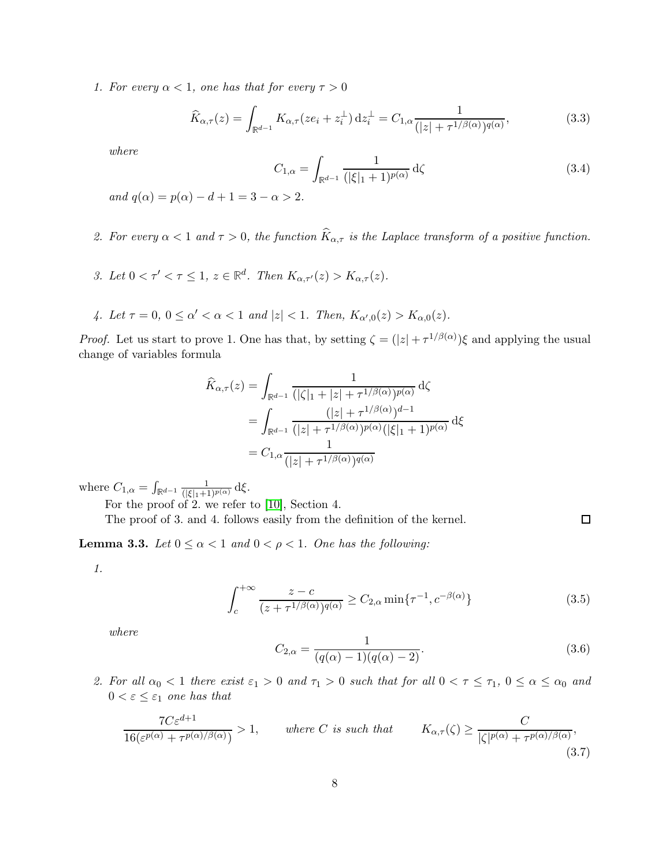1. For every  $\alpha < 1$ , one has that for every  $\tau > 0$ 

$$
\widehat{K}_{\alpha,\tau}(z) = \int_{\mathbb{R}^{d-1}} K_{\alpha,\tau}(ze_i + z_i^{\perp}) dz_i^{\perp} = C_{1,\alpha} \frac{1}{(|z| + \tau^{1/\beta(\alpha)})^{q(\alpha)}},\tag{3.3}
$$

<span id="page-7-0"></span>where

<span id="page-7-2"></span>
$$
C_{1,\alpha} = \int_{\mathbb{R}^{d-1}} \frac{1}{(|\xi|_1 + 1)^{p(\alpha)}} d\zeta
$$
 (3.4)

and  $q(\alpha) = p(\alpha) - d + 1 = 3 - \alpha > 2$ .

- 2. For every  $\alpha < 1$  and  $\tau > 0$ , the function  $\widehat{K}_{\alpha,\tau}$  is the Laplace transform of a positive function.
- 3. Let  $0 < \tau' < \tau \leq 1$ ,  $z \in \mathbb{R}^d$ . Then  $K_{\alpha,\tau'}(z) > K_{\alpha,\tau}(z)$ .
- 4. Let  $\tau = 0$ ,  $0 \le \alpha' < \alpha < 1$  and  $|z| < 1$ . Then,  $K_{\alpha',0}(z) > K_{\alpha,0}(z)$ .

*Proof.* Let us start to prove 1. One has that, by setting  $\zeta = (|z| + \tau^{1/\beta(\alpha)})\xi$  and applying the usual change of variables formula

$$
\widehat{K}_{\alpha,\tau}(z) = \int_{\mathbb{R}^{d-1}} \frac{1}{\left( |\zeta|_1 + |z| + \tau^{1/\beta(\alpha)} \right)^{p(\alpha)}} d\zeta
$$
\n
$$
= \int_{\mathbb{R}^{d-1}} \frac{\left( |z| + \tau^{1/\beta(\alpha)} \right)^{q-1}}{\left( |z| + \tau^{1/\beta(\alpha)} \right)^{p(\alpha)} \left( |\xi|_1 + 1 \right)^{p(\alpha)}} d\xi
$$
\n
$$
= C_{1,\alpha} \frac{1}{\left( |z| + \tau^{1/\beta(\alpha)} \right)^{q(\alpha)}}
$$

where  $C_{1,\alpha} = \int_{\mathbb{R}^{d-1}} \frac{1}{(|\xi|_1+1)^{p(\alpha)}} d\xi.$ 

For the proof of 2. we refer to [\[10\]](#page-27-0), Section 4.

The proof of 3. and 4. follows easily from the definition of the kernel.

<span id="page-7-4"></span>**Lemma 3.3.** Let  $0 \leq \alpha < 1$  and  $0 < \rho < 1$ . One has the following:

1.

$$
\int_{c}^{+\infty} \frac{z-c}{(z+\tau^{1/\beta(\alpha)})^{q(\alpha)}} \ge C_{2,\alpha} \min\{\tau^{-1}, c^{-\beta(\alpha)}\}
$$
\n(3.5)

<span id="page-7-1"></span>where

$$
C_{2,\alpha} = \frac{1}{(q(\alpha) - 1)(q(\alpha) - 2)}.\t(3.6)
$$

<span id="page-7-3"></span> $\Box$ 

2. For all  $\alpha_0 < 1$  there exist  $\varepsilon_1 > 0$  and  $\tau_1 > 0$  such that for all  $0 < \tau \leq \tau_1$ ,  $0 \leq \alpha \leq \alpha_0$  and  $0 < \varepsilon \leq \varepsilon_1$  one has that

$$
\frac{7C\varepsilon^{d+1}}{16(\varepsilon^{p(\alpha)} + \tau^{p(\alpha)/\beta(\alpha)})} > 1, \quad \text{where } C \text{ is such that } \quad K_{\alpha,\tau}(\zeta) \ge \frac{C}{|\zeta|^{p(\alpha)} + \tau^{p(\alpha)/\beta(\alpha)}},\tag{3.7}
$$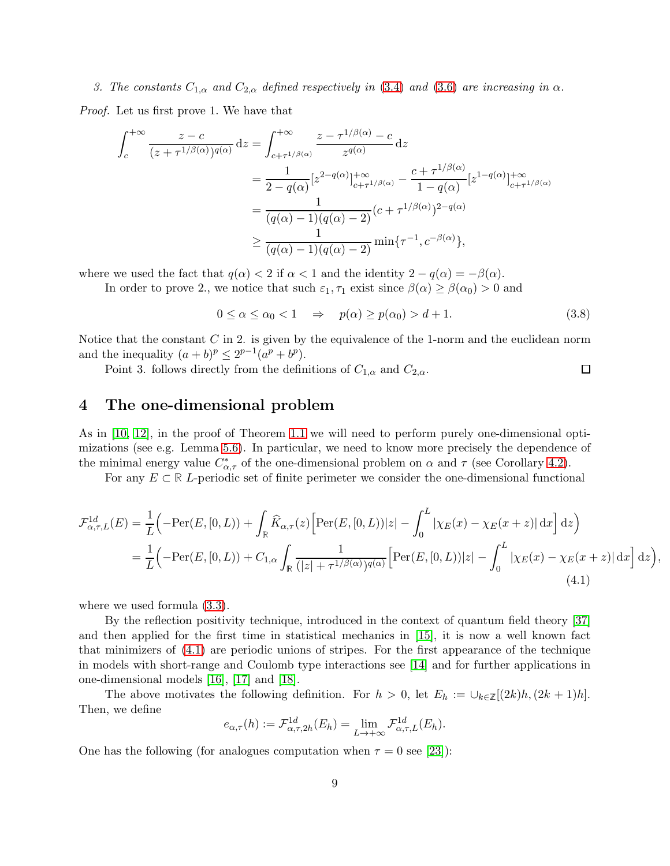# 3. The constants  $C_{1,\alpha}$  and  $C_{2,\alpha}$  defined respectively in [\(3.4\)](#page-7-0) and [\(3.6\)](#page-7-1) are increasing in  $\alpha$ .

Proof. Let us first prove 1. We have that

$$
\int_{c}^{+\infty} \frac{z-c}{(z+\tau^{1/\beta(\alpha)})^{q(\alpha)}} dz = \int_{c+\tau^{1/\beta(\alpha)}}^{+\infty} \frac{z-\tau^{1/\beta(\alpha)}-c}{z^{q(\alpha)}} dz
$$
  
\n
$$
= \frac{1}{2-q(\alpha)} [z^{2-q(\alpha)}]_{c+\tau^{1/\beta(\alpha)}}^{+\infty} - \frac{c+\tau^{1/\beta(\alpha)}}{1-q(\alpha)} [z^{1-q(\alpha)}]_{c+\tau^{1/\beta(\alpha)}}^{+\infty}
$$
  
\n
$$
= \frac{1}{(q(\alpha)-1)(q(\alpha)-2)} (c+\tau^{1/\beta(\alpha)})^{2-q(\alpha)}
$$
  
\n
$$
\geq \frac{1}{(q(\alpha)-1)(q(\alpha)-2)} \min{\{\tau^{-1}, c^{-\beta(\alpha)}}\},
$$

where we used the fact that  $q(\alpha) < 2$  if  $\alpha < 1$  and the identity  $2 - q(\alpha) = -\beta(\alpha)$ .

In order to prove 2., we notice that such  $\varepsilon_1, \tau_1$  exist since  $\beta(\alpha) \geq \beta(\alpha_0) > 0$  and

$$
0 \le \alpha \le \alpha_0 < 1 \quad \Rightarrow \quad p(\alpha) \ge p(\alpha_0) > d+1. \tag{3.8}
$$

Notice that the constant  $C$  in 2. is given by the equivalence of the 1-norm and the euclidean norm and the inequality  $(a + b)^p \leq 2^{p-1}(a^p + b^p)$ .

Point 3. follows directly from the definitions of  $C_{1,\alpha}$  and  $C_{2,\alpha}$ .

## 4 The one-dimensional problem

As in [\[10,](#page-27-0) [12\]](#page-27-10), in the proof of Theorem [1.1](#page-2-1) we will need to perform purely one-dimensional optimizations (see e.g. Lemma [5.6\)](#page-18-0). In particular, we need to know more precisely the dependence of the minimal energy value  $C_{\alpha,\tau}^*$  of the one-dimensional problem on  $\alpha$  and  $\tau$  (see Corollary [4.2\)](#page-10-0).

For any  $E \subset \mathbb{R}$  L-periodic set of finite perimeter we consider the one-dimensional functional

$$
\mathcal{F}^{1d}_{\alpha,\tau,L}(E) = \frac{1}{L} \Big( -\text{Per}(E, [0, L)) + \int_{\mathbb{R}} \widehat{K}_{\alpha,\tau}(z) \Big[ \text{Per}(E, [0, L)) |z| - \int_{0}^{L} |\chi_{E}(x) - \chi_{E}(x + z)| \,dx \Big] \,dz \Big)
$$
  
= 
$$
\frac{1}{L} \Big( -\text{Per}(E, [0, L)) + C_{1,\alpha} \int_{\mathbb{R}} \frac{1}{(|z| + \tau^{1/\beta(\alpha)})^{q(\alpha)}} \Big[ \text{Per}(E, [0, L)) |z| - \int_{0}^{L} |\chi_{E}(x) - \chi_{E}(x + z)| \,dx \Big] \,dz \Big)
$$
(4.1)

<span id="page-8-0"></span>,

 $\Box$ 

where we used formula [\(3.3\)](#page-7-2).

By the reflection positivity technique, introduced in the context of quantum field theory [\[37\]](#page-28-17) and then applied for the first time in statistical mechanics in [\[15\]](#page-27-12), it is now a well known fact that minimizers of [\(4.1\)](#page-8-0) are periodic unions of stripes. For the first appearance of the technique in models with short-range and Coulomb type interactions see [\[14\]](#page-27-13) and for further applications in one-dimensional models [\[16\]](#page-27-3), [\[17\]](#page-27-14) and [\[18\]](#page-27-15).

The above motivates the following definition. For  $h > 0$ , let  $E_h := \bigcup_{k \in \mathbb{Z}} [(2k)h, (2k+1)h].$ Then, we define

$$
e_{\alpha,\tau}(h) := \mathcal{F}_{\alpha,\tau,2h}^{1d}(E_h) = \lim_{L \to +\infty} \mathcal{F}_{\alpha,\tau,L}^{1d}(E_h).
$$

One has the following (for analogues computation when  $\tau = 0$  see [\[23\]](#page-28-0)):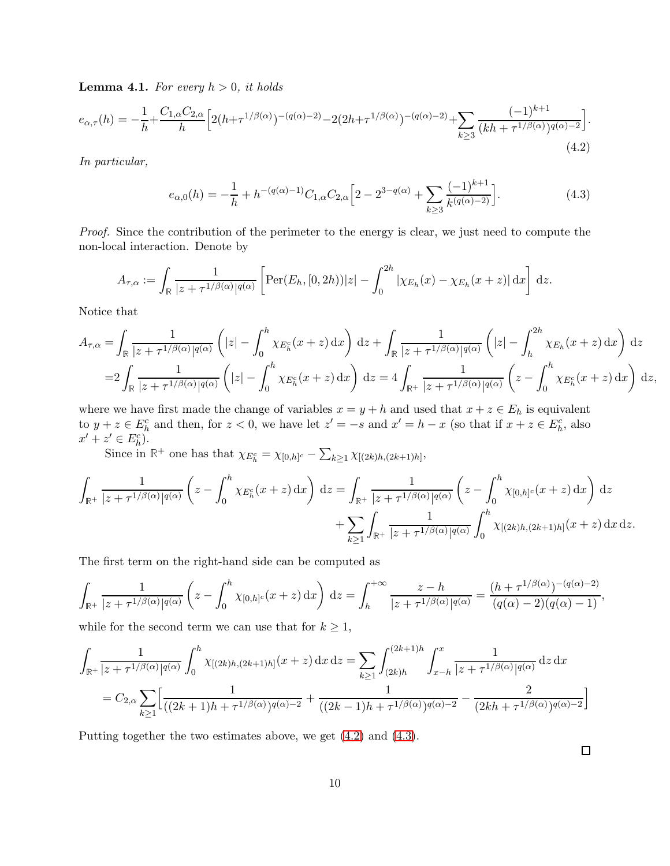**Lemma 4.1.** For every  $h > 0$ , it holds

$$
e_{\alpha,\tau}(h) = -\frac{1}{h} + \frac{C_{1,\alpha}C_{2,\alpha}}{h} \Big[ 2(h + \tau^{1/\beta(\alpha)})^{-(q(\alpha)-2)} - 2(2h + \tau^{1/\beta(\alpha)})^{-(q(\alpha)-2)} + \sum_{k \ge 3} \frac{(-1)^{k+1}}{(kh + \tau^{1/\beta(\alpha)})^{q(\alpha)-2}} \Big].
$$
\n(4.2)

In particular,

<span id="page-9-1"></span><span id="page-9-0"></span>
$$
e_{\alpha,0}(h) = -\frac{1}{h} + h^{-(q(\alpha)-1)} C_{1,\alpha} C_{2,\alpha} \Big[ 2 - 2^{3-q(\alpha)} + \sum_{k \ge 3} \frac{(-1)^{k+1}}{k^{(q(\alpha)-2)}} \Big]. \tag{4.3}
$$

Proof. Since the contribution of the perimeter to the energy is clear, we just need to compute the non-local interaction. Denote by

$$
A_{\tau,\alpha} := \int_{\mathbb{R}} \frac{1}{|z + \tau^{1/\beta(\alpha)}|^{q(\alpha)}} \left[ \text{Per}(E_h, [0, 2h)) |z| - \int_0^{2h} |\chi_{E_h}(x) - \chi_{E_h}(x + z)| dx \right] dz.
$$

Notice that

$$
A_{\tau,\alpha} = \int_{\mathbb{R}} \frac{1}{|z+\tau^{1/\beta(\alpha)}|^{q(\alpha)}} \left( |z| - \int_0^h \chi_{E_h^c}(x+z) dx \right) dz + \int_{\mathbb{R}} \frac{1}{|z+\tau^{1/\beta(\alpha)}|^{q(\alpha)}} \left( |z| - \int_h^{2h} \chi_{E_h}(x+z) dx \right) dz
$$
  
= 
$$
2 \int_{\mathbb{R}} \frac{1}{|z+\tau^{1/\beta(\alpha)}|^{q(\alpha)}} \left( |z| - \int_0^h \chi_{E_h^c}(x+z) dx \right) dz = 4 \int_{\mathbb{R}^+} \frac{1}{|z+\tau^{1/\beta(\alpha)}|^{q(\alpha)}} \left( z - \int_0^h \chi_{E_h^c}(x+z) dx \right) dz,
$$

where we have first made the change of variables  $x = y + h$  and used that  $x + z \in E_h$  is equivalent to  $y + z \in E_h^c$  and then, for  $z < 0$ , we have let  $z' = -s$  and  $x' = h - x$  (so that if  $x + z \in E_h^c$ , also  $x' + z' \in E_h^c$ .

Since in  $\mathbb{R}^+$  one has that  $\chi_{E_h^c} = \chi_{[0,h]^c} - \sum_{k \geq 1} \chi_{[(2k)h,(2k+1)h]},$ 

$$
\int_{\mathbb{R}^+} \frac{1}{|z+\tau^{1/\beta(\alpha)}|^{q(\alpha)}} \left(z - \int_0^h \chi_{E_h^c}(x+z) dx\right) dz = \int_{\mathbb{R}^+} \frac{1}{|z+\tau^{1/\beta(\alpha)}|^{q(\alpha)}} \left(z - \int_0^h \chi_{[0,h]^c}(x+z) dx\right) dz
$$

$$
+ \sum_{k\geq 1} \int_{\mathbb{R}^+} \frac{1}{|z+\tau^{1/\beta(\alpha)}|^{q(\alpha)}} \int_0^h \chi_{[(2k)h,(2k+1)h]}(x+z) dx dz.
$$

The first term on the right-hand side can be computed as

$$
\int_{\mathbb{R}^+} \frac{1}{|z+\tau^{1/\beta(\alpha)}|^{q(\alpha)}} \left(z - \int_0^h \chi_{[0,h]^c}(x+z) dx\right) dz = \int_h^{+\infty} \frac{z-h}{|z+\tau^{1/\beta(\alpha)}|^{q(\alpha)}} = \frac{(h+\tau^{1/\beta(\alpha)})^{-(q(\alpha)-2)}}{(q(\alpha)-2)(q(\alpha)-1)},
$$

while for the second term we can use that for  $k \geq 1$ ,

$$
\int_{\mathbb{R}^+} \frac{1}{|z + \tau^{1/\beta(\alpha)}|^{q(\alpha)}} \int_0^h \chi_{[(2k)h,(2k+1)h]}(x+z) \,dx \,dz = \sum_{k \ge 1} \int_{(2k)h}^{(2k+1)h} \int_{x-h}^x \frac{1}{|z + \tau^{1/\beta(\alpha)}|^{q(\alpha)}} \,dz \,dx
$$

$$
= C_{2,\alpha} \sum_{k \ge 1} \Big[ \frac{1}{((2k+1)h + \tau^{1/\beta(\alpha)})^{q(\alpha)-2}} + \frac{1}{((2k-1)h + \tau^{1/\beta(\alpha)})^{q(\alpha)-2}} - \frac{2}{(2kh + \tau^{1/\beta(\alpha)})^{q(\alpha)-2}} \Big]
$$

Putting together the two estimates above, we get [\(4.2\)](#page-9-0) and [\(4.3\)](#page-9-1).

 $\Box$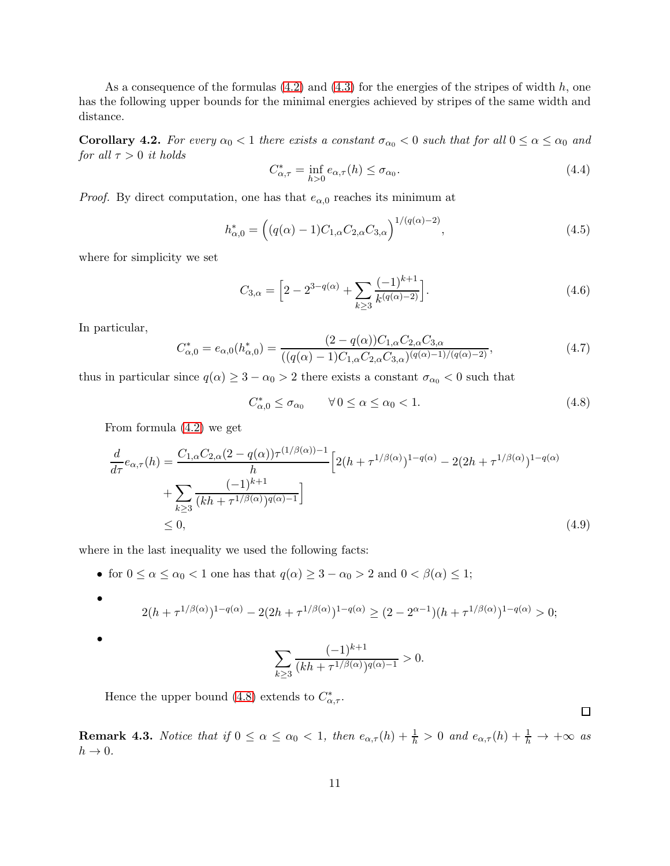<span id="page-10-0"></span>As a consequence of the formulas  $(4.2)$  and  $(4.3)$  for the energies of the stripes of width h, one has the following upper bounds for the minimal energies achieved by stripes of the same width and distance.

**Corollary 4.2.** For every  $\alpha_0 < 1$  there exists a constant  $\sigma_{\alpha_0} < 0$  such that for all  $0 \le \alpha \le \alpha_0$  and for all  $\tau > 0$  it holds

$$
C_{\alpha,\tau}^* = \inf_{h>0} e_{\alpha,\tau}(h) \le \sigma_{\alpha_0}.\tag{4.4}
$$

*Proof.* By direct computation, one has that  $e_{\alpha,0}$  reaches its minimum at

$$
h_{\alpha,0}^* = \left( (q(\alpha) - 1)C_{1,\alpha} C_{2,\alpha} C_{3,\alpha} \right)^{1/(q(\alpha) - 2)}, \tag{4.5}
$$

where for simplicity we set

$$
C_{3,\alpha} = \left[2 - 2^{3 - q(\alpha)} + \sum_{k \ge 3} \frac{(-1)^{k+1}}{k^{(q(\alpha) - 2)}}\right].
$$
\n(4.6)

In particular,

$$
C_{\alpha,0}^* = e_{\alpha,0}(h_{\alpha,0}^*) = \frac{(2 - q(\alpha))C_{1,\alpha}C_{2,\alpha}C_{3,\alpha}}{((q(\alpha) - 1)C_{1,\alpha}C_{2,\alpha}C_{3,\alpha})^{(q(\alpha) - 1)/(q(\alpha) - 2)}},\tag{4.7}
$$

thus in particular since  $q(\alpha) \geq 3 - \alpha_0 > 2$  there exists a constant  $\sigma_{\alpha_0} < 0$  such that

<span id="page-10-1"></span>
$$
C_{\alpha,0}^* \le \sigma_{\alpha_0} \qquad \forall \, 0 \le \alpha \le \alpha_0 < 1. \tag{4.8}
$$

From formula [\(4.2\)](#page-9-0) we get

$$
\frac{d}{d\tau}e_{\alpha,\tau}(h) = \frac{C_{1,\alpha}C_{2,\alpha}(2-q(\alpha))\tau^{(1/\beta(\alpha))-1}}{h} \left[2(h+\tau^{1/\beta(\alpha)})^{1-q(\alpha)} - 2(2h+\tau^{1/\beta(\alpha)})^{1-q(\alpha)} + \sum_{k\geq 3} \frac{(-1)^{k+1}}{(kh+\tau^{1/\beta(\alpha)})^{q(\alpha)-1}}\right]
$$
\n
$$
\leq 0,
$$
\n(4.9)

where in the last inequality we used the following facts:

• for  $0 \le \alpha \le \alpha_0 < 1$  one has that  $q(\alpha) \ge 3 - \alpha_0 > 2$  and  $0 < \beta(\alpha) \le 1$ ;

• 
$$
2(h + \tau^{1/\beta(\alpha)})^{1-q(\alpha)} - 2(2h + \tau^{1/\beta(\alpha)})^{1-q(\alpha)} \ge (2 - 2^{\alpha - 1})(h + \tau^{1/\beta(\alpha)})^{1-q(\alpha)} > 0;
$$

$$
\sum_{k\geq 3} \frac{(-1)^{k+1}}{(kh+\tau^{1/\beta(\alpha)})^{q(\alpha)-1}} > 0.
$$

Hence the upper bound [\(4.8\)](#page-10-1) extends to  $C^*_{\alpha,\tau}$ .

**Remark 4.3.** Notice that if  $0 \le \alpha \le \alpha_0 < 1$ , then  $e_{\alpha,\tau}(h) + \frac{1}{h} > 0$  and  $e_{\alpha,\tau}(h) + \frac{1}{h} \to +\infty$  as  $h \to 0$ .

 $\Box$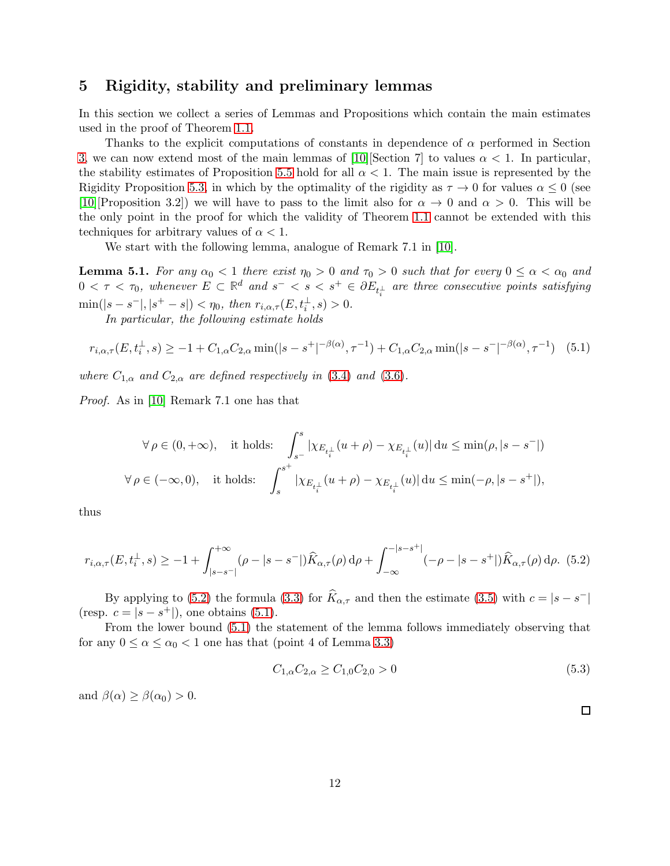## 5 Rigidity, stability and preliminary lemmas

In this section we collect a series of Lemmas and Propositions which contain the main estimates used in the proof of Theorem [1.1.](#page-2-1)

Thanks to the explicit computations of constants in dependence of  $\alpha$  performed in Section [3,](#page-6-1) we can now extend most of the main lemmas of [\[10\]](#page-27-0)[Section 7] to values  $\alpha < 1$ . In particular, the stability estimates of Proposition [5.5](#page-17-0) hold for all  $\alpha$  < 1. The main issue is represented by the Rigidity Proposition [5.3,](#page-13-0) in which by the optimality of the rigidity as  $\tau \to 0$  for values  $\alpha \leq 0$  (see [\[10\]](#page-27-0)[Proposition 3.2]) we will have to pass to the limit also for  $\alpha \to 0$  and  $\alpha > 0$ . This will be the only point in the proof for which the validity of Theorem [1.1](#page-2-1) cannot be extended with this techniques for arbitrary values of  $\alpha < 1$ .

We start with the following lemma, analogue of Remark 7.1 in [\[10\]](#page-27-0).

<span id="page-11-0"></span>**Lemma 5.1.** For any  $\alpha_0 < 1$  there exist  $\eta_0 > 0$  and  $\tau_0 > 0$  such that for every  $0 \leq \alpha < \alpha_0$  and  $0 < \tau < \tau_0$ , whenever  $E \subset \mathbb{R}^d$  and  $s^- < s < s^+ \in \partial E_{t_i^{\perp}}$  are three consecutive points satisfying  $\min(|s - s^-|, |s^+ - s|) < \eta_0$ , then  $r_{i,\alpha,\tau}(E, t_i^{\perp}, s) > 0$ .

<span id="page-11-2"></span>In particular, the following estimate holds

$$
r_{i,\alpha,\tau}(E, t_i^{\perp}, s) \ge -1 + C_{1,\alpha} C_{2,\alpha} \min(|s - s^+|^{-\beta(\alpha)}, \tau^{-1}) + C_{1,\alpha} C_{2,\alpha} \min(|s - s^-|^{-\beta(\alpha)}, \tau^{-1}) \quad (5.1)
$$

where  $C_{1,\alpha}$  and  $C_{2,\alpha}$  are defined respectively in [\(3.4\)](#page-7-0) and [\(3.6\)](#page-7-1).

Proof. As in [\[10\]](#page-27-0) Remark 7.1 one has that

$$
\begin{aligned} \forall \, &\rho \in (0,+\infty), \quad \text{it holds:} \quad \int_{s^-}^s \left| \chi_{E_{t_i^\perp}}(u+\rho) - \chi_{E_{t_i^\perp}}(u) \right| \mathrm{d} u \leq \min(\rho, |s-s^-|) \\ \forall \, &\rho \in (-\infty,0), \quad \text{it holds:} \quad \int_{s}^{s^+} \left| \chi_{E_{t_i^\perp}}(u+\rho) - \chi_{E_{t_i^\perp}}(u) \right| \mathrm{d} u \leq \min(-\rho, |s-s^+|), \end{aligned}
$$

<span id="page-11-1"></span>thus

$$
r_{i,\alpha,\tau}(E, t_i^{\perp}, s) \ge -1 + \int_{|s-s^-|}^{+\infty} (\rho - |s-s^-|) \widehat{K}_{\alpha,\tau}(\rho) d\rho + \int_{-\infty}^{-|s-s^+|} (-\rho - |s-s^+|) \widehat{K}_{\alpha,\tau}(\rho) d\rho. (5.2)
$$

By applying to [\(5.2\)](#page-11-1) the formula [\(3.3\)](#page-7-2) for  $\widehat{K}_{\alpha,\tau}$  and then the estimate [\(3.5\)](#page-7-3) with  $c = |s - s^-|$ (resp.  $c = |s - s^+|$ ), one obtains [\(5.1\)](#page-11-2).

From the lower bound [\(5.1\)](#page-11-2) the statement of the lemma follows immediately observing that for any  $0 \le \alpha \le \alpha_0 < 1$  one has that (point 4 of Lemma [3.3\)](#page-7-4)

$$
C_{1,\alpha}C_{2,\alpha} \ge C_{1,0}C_{2,0} > 0\tag{5.3}
$$

and  $\beta(\alpha) > \beta(\alpha_0) > 0$ .

 $\Box$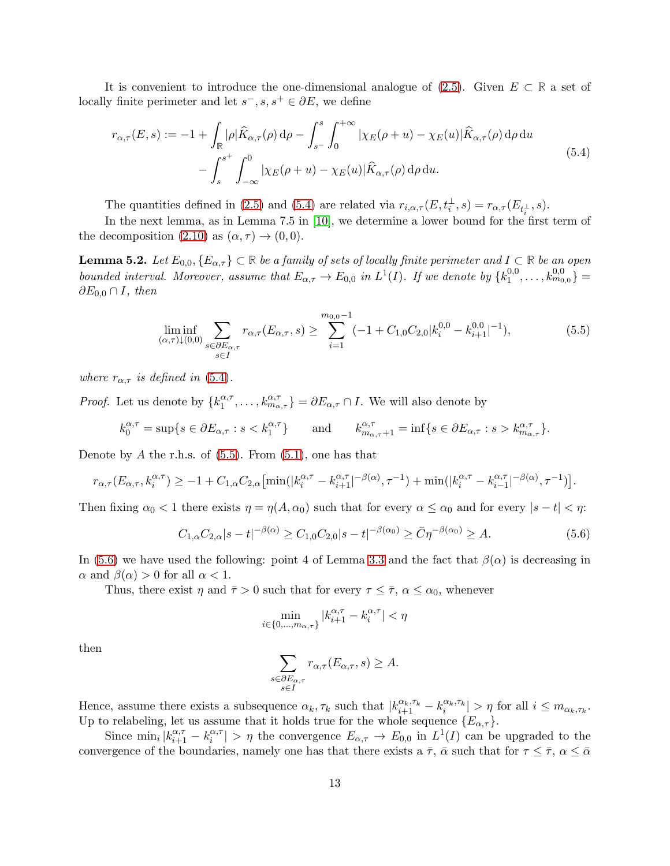It is convenient to introduce the one-dimensional analogue of [\(2.5\)](#page-4-2). Given E ⊂ **R** a set of locally finite perimeter and let  $s^-, s, s^+ \in \partial E$ , we define

<span id="page-12-0"></span>
$$
r_{\alpha,\tau}(E,s) := -1 + \int_{\mathbb{R}} |\rho| \widehat{K}_{\alpha,\tau}(\rho) d\rho - \int_{s^-}^{s} \int_0^{+\infty} |\chi_E(\rho + u) - \chi_E(u)| \widehat{K}_{\alpha,\tau}(\rho) d\rho du - \int_{s}^{s^+} \int_{-\infty}^{0} |\chi_E(\rho + u) - \chi_E(u)| \widehat{K}_{\alpha,\tau}(\rho) d\rho du.
$$
 (5.4)

The quantities defined in [\(2.5\)](#page-4-2) and [\(5.4\)](#page-12-0) are related via  $r_{i,\alpha,\tau}(E, t_i^{\perp}, s) = r_{\alpha,\tau}(E_{t_i^{\perp}}, s)$ .

<span id="page-12-3"></span>In the next lemma, as in Lemma 7.5 in [\[10\]](#page-27-0), we determine a lower bound for the first term of the decomposition  $(2.10)$  as  $(\alpha, \tau) \rightarrow (0, 0)$ .

**Lemma 5.2.** Let  $E_{0,0}, \{E_{\alpha,\tau}\}\subset \mathbb{R}$  be a family of sets of locally finite perimeter and  $I\subset \mathbb{R}$  be an open bounded interval. Moreover, assume that  $E_{\alpha,\tau} \to E_{0,0}$  in  $L^1(I)$ . If we denote by  $\{k_1^{0,0}\}$  $\{ \delta^{0,0}_{1},\ldots, \delta^{0,0}_{m_{0,0}} \} =$  $\partial E_{0,0} \cap I$ , then

<span id="page-12-1"></span>
$$
\liminf_{\substack{(\alpha,\tau)\downarrow(0,0)}} \sum_{\substack{s \in \partial E_{\alpha,\tau} \\ s \in I}} r_{\alpha,\tau}(E_{\alpha,\tau},s) \ge \sum_{i=1}^{m_{0,0}-1} (-1 + C_{1,0}C_{2,0} |k_i^{0,0} - k_{i+1}^{0,0}|^{-1}),\tag{5.5}
$$

where  $r_{\alpha,\tau}$  is defined in [\(5.4\)](#page-12-0).

*Proof.* Let us denote by  $\{k_1^{\alpha,\tau}\}$  $\{a,\tau}_{1},\ldots,k_{m_{\alpha,\tau}}^{\alpha,\tau}$  =  $\partial E_{\alpha,\tau} \cap I$ . We will also denote by

$$
k_0^{\alpha,\tau} = \sup \{ s \in \partial E_{\alpha,\tau} : s < k_1^{\alpha,\tau} \} \qquad \text{and} \qquad k_{m_{\alpha,\tau}+1}^{\alpha,\tau} = \inf \{ s \in \partial E_{\alpha,\tau} : s > k_{m_{\alpha,\tau}}^{\alpha,\tau} \}.
$$

Denote by A the r.h.s. of  $(5.5)$ . From  $(5.1)$ , one has that

$$
r_{\alpha,\tau}(E_{\alpha,\tau},k_i^{\alpha,\tau}) \geq -1 + C_{1,\alpha}C_{2,\alpha} \left[ \min(|k_i^{\alpha,\tau} - k_{i+1}^{\alpha,\tau}|^{-\beta(\alpha)}, \tau^{-1}) + \min(|k_i^{\alpha,\tau} - k_{i-1}^{\alpha,\tau}|^{-\beta(\alpha)}, \tau^{-1}) \right].
$$

Then fixing  $\alpha_0 < 1$  there exists  $\eta = \eta(A, \alpha_0)$  such that for every  $\alpha \leq \alpha_0$  and for every  $|s - t| < \eta$ :

$$
C_{1,\alpha}C_{2,\alpha}|s-t|^{-\beta(\alpha)} \ge C_{1,0}C_{2,0}|s-t|^{-\beta(\alpha_0)} \ge \bar{C}\eta^{-\beta(\alpha_0)} \ge A.
$$
\n(5.6)

In [\(5.6\)](#page-12-2) we have used the following: point 4 of Lemma [3.3](#page-7-4) and the fact that  $\beta(\alpha)$  is decreasing in  $\alpha$  and  $\beta(\alpha) > 0$  for all  $\alpha < 1$ .

Thus, there exist  $\eta$  and  $\bar{\tau} > 0$  such that for every  $\tau \leq \bar{\tau}$ ,  $\alpha \leq \alpha_0$ , whenever

<span id="page-12-2"></span>
$$
\min_{i \in \{0, \dots, m_{\alpha, \tau}\}} |k_{i+1}^{\alpha, \tau} - k_i^{\alpha, \tau}| < \eta
$$

then

$$
\sum_{\substack{s \in \partial E_{\alpha,\tau} \\ s \in I}} r_{\alpha,\tau}(E_{\alpha,\tau},s) \geq A.
$$

Hence, assume there exists a subsequence  $\alpha_k, \tau_k$  such that  $|k_{i+1}^{\alpha_k, \tau_k} - k_i^{\alpha_k, \tau_k}| > \eta$  for all  $i \leq m_{\alpha_k, \tau_k}$ . Up to relabeling, let us assume that it holds true for the whole sequence  $\{E_{\alpha,\tau}\}.$ 

Since  $\min_i |k_{i+1}^{\alpha,\tau} - k_i^{\alpha,\tau}$  $\binom{\alpha,\tau}{i}$  >  $\eta$  the convergence  $E_{\alpha,\tau} \to E_{0,0}$  in  $L^1(I)$  can be upgraded to the convergence of the boundaries, namely one has that there exists a  $\bar{\tau}$ ,  $\bar{\alpha}$  such that for  $\tau \leq \bar{\tau}$ ,  $\alpha \leq \bar{\alpha}$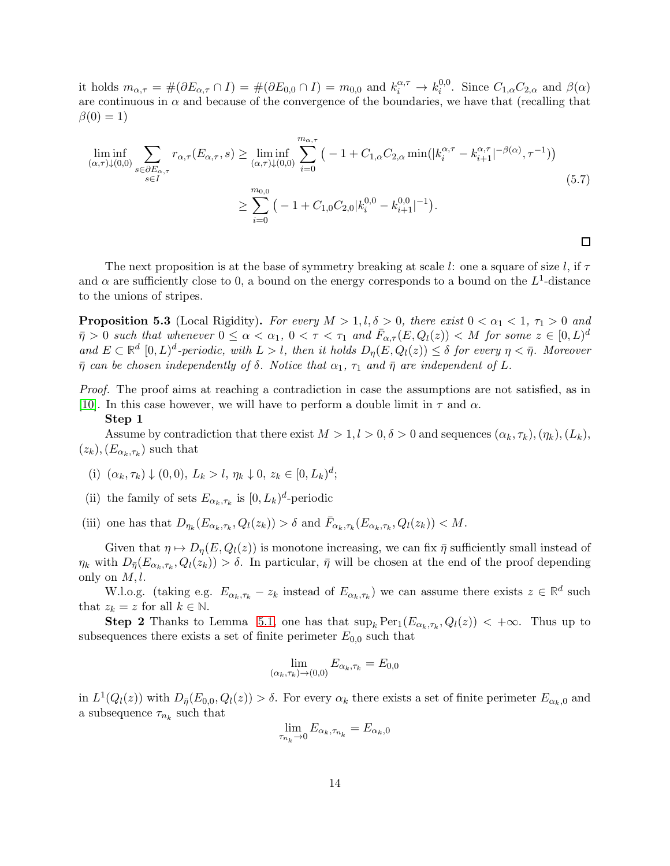it holds  $m_{\alpha,\tau} = \#(\partial E_{\alpha,\tau} \cap I) = \#(\partial E_{0,0} \cap I) = m_{0,0}$  and  $k_i^{\alpha,\tau} \to k_i^{0,0}$ <sup>0,0</sup>. Since  $C_{1,\alpha}C_{2,\alpha}$  and  $\beta(\alpha)$ are continuous in  $\alpha$  and because of the convergence of the boundaries, we have that (recalling that  $\beta(0) = 1$ 

$$
\liminf_{(\alpha,\tau)\downarrow(0,0)} \sum_{s \in \partial E_{\alpha,\tau}} r_{\alpha,\tau}(E_{\alpha,\tau},s) \ge \liminf_{(\alpha,\tau)\downarrow(0,0)} \sum_{i=0}^{m_{\alpha,\tau}} \left( -1 + C_{1,\alpha} C_{2,\alpha} \min(|k_i^{\alpha,\tau} - k_{i+1}^{\alpha,\tau}|^{-\beta(\alpha)}, \tau^{-1}) \right)
$$
\n
$$
\ge \sum_{i=0}^{m_{0,0}} \left( -1 + C_{1,0} C_{2,0} |k_i^{0,0} - k_{i+1}^{0,0}|^{-1} \right).
$$
\n(5.7)

The next proposition is at the base of symmetry breaking at scale l: one a square of size l, if  $\tau$ and  $\alpha$  are sufficiently close to 0, a bound on the energy corresponds to a bound on the  $L^1$ -distance to the unions of stripes.

<span id="page-13-0"></span>**Proposition 5.3** (Local Rigidity). For every  $M > 1, l, \delta > 0$ , there exist  $0 < \alpha_1 < 1$ ,  $\tau_1 > 0$  and  $\bar{\eta} > 0$  such that whenever  $0 \le \alpha < \alpha_1, 0 < \tau < \tau_1$  and  $\bar{F}_{\alpha,\tau}(E,Q_l(z)) < M$  for some  $z \in [0,L)^d$ and  $E \subset \mathbb{R}^d$   $[0, L)^d$ -periodic, with  $L > l$ , then it holds  $D_\eta(E, Q_l(z)) \leq \delta$  for every  $\eta < \bar{\eta}$ . Moreover  $\bar{\eta}$  can be chosen independently of  $\delta$ . Notice that  $\alpha_1$ ,  $\tau_1$  and  $\bar{\eta}$  are independent of L.

Proof. The proof aims at reaching a contradiction in case the assumptions are not satisfied, as in [\[10\]](#page-27-0). In this case however, we will have to perform a double limit in  $\tau$  and  $\alpha$ .

#### Step 1

Assume by contradiction that there exist  $M > 1, l > 0, \delta > 0$  and sequences  $(\alpha_k, \tau_k), (\eta_k), (L_k),$  $(z_k), (E_{\alpha_k, \tau_k})$  such that

- (i)  $(\alpha_k, \tau_k) \downarrow (0, 0), L_k > l, \eta_k \downarrow 0, z_k \in [0, L_k)^d;$
- (ii) the family of sets  $E_{\alpha_k, \tau_k}$  is  $[0, L_k)^d$ -periodic

(iii) one has that  $D_{\eta_k}(E_{\alpha_k,\tau_k}, Q_l(z_k)) > \delta$  and  $\bar{F}_{\alpha_k,\tau_k}(E_{\alpha_k,\tau_k}, Q_l(z_k)) < M$ .

Given that  $\eta \mapsto D_{\eta}(E, Q_l(z))$  is monotone increasing, we can fix  $\bar{\eta}$  sufficiently small instead of  $\eta_k$  with  $D_{\bar{\eta}}(E_{\alpha_k,\tau_k}, Q_l(z_k)) > \delta$ . In particular,  $\bar{\eta}$  will be chosen at the end of the proof depending only on  $M, l$ .

W.l.o.g. (taking e.g.  $E_{\alpha_k,\tau_k} - z_k$  instead of  $E_{\alpha_k,\tau_k}$ ) we can assume there exists  $z \in \mathbb{R}^d$  such that  $z_k = z$  for all  $k \in \mathbb{N}$ .

**Step 2** Thanks to Lemma [5.1,](#page-11-0) one has that  $\sup_k \text{Per}_1(E_{\alpha_k,\tau_k}, Q_l(z)) < +\infty$ . Thus up to subsequences there exists a set of finite perimeter  $E_{0,0}$  such that

$$
\lim_{(\alpha_k,\tau_k)\to(0,0)} E_{\alpha_k,\tau_k} = E_{0,0}
$$

in  $L^1(Q_l(z))$  with  $D_{\bar{\eta}}(E_{0,0}, Q_l(z)) > \delta$ . For every  $\alpha_k$  there exists a set of finite perimeter  $E_{\alpha_k,0}$  and a subsequence  $\tau_{n_k}$  such that

$$
\lim_{\tau_{n_k}\to 0} E_{\alpha_k,\tau_{n_k}} = E_{\alpha_k,0}
$$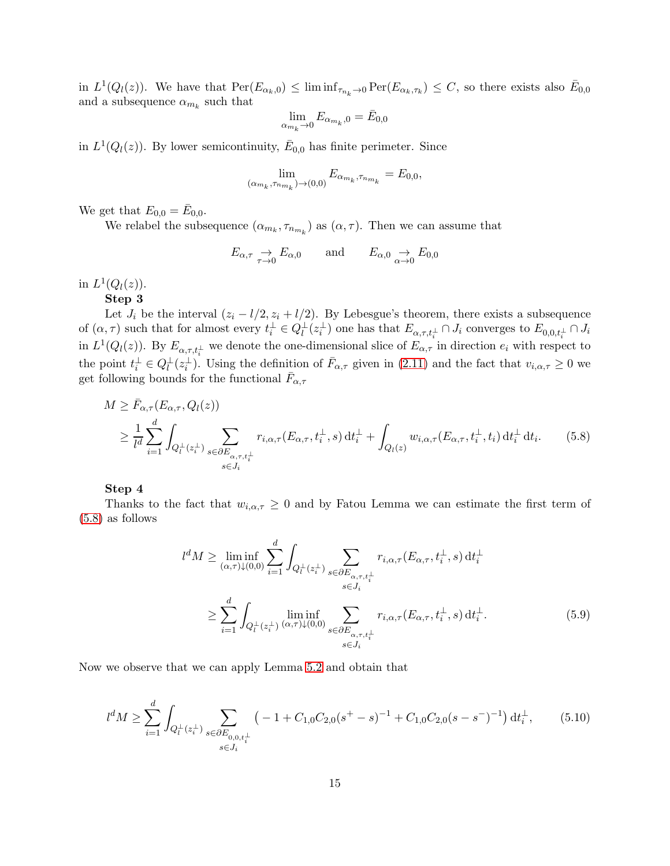in  $L^1(Q_l(z))$ . We have that  $\text{Per}(E_{\alpha_k,0}) \leq \liminf_{\tau_{n_k}\to 0} \text{Per}(E_{\alpha_k,\tau_k}) \leq C$ , so there exists also  $\bar{E}_{0,0}$ and a subsequence  $\alpha_{m_k}$  such that

$$
\lim_{\alpha_{m_k}\to 0} E_{\alpha_{m_k},0} = \bar{E}_{0,0}
$$

in  $L^1(Q_l(z))$ . By lower semicontinuity,  $\bar{E}_{0,0}$  has finite perimeter. Since

$$
\lim_{(\alpha_{m_k},\tau_{n_{m_k}})\to(0,0)}E_{\alpha_{m_k},\tau_{n_{m_k}}}=E_{0,0},
$$

We get that  $E_{0,0} = \bar{E}_{0,0}$ .

We relabel the subsequence  $(\alpha_{m_k}, \tau_{n_{m_k}})$  as  $(\alpha, \tau)$ . Then we can assume that

<span id="page-14-0"></span>
$$
E_{\alpha,\tau} \underset{\tau \to 0}{\to} E_{\alpha,0}
$$
 and  $E_{\alpha,0} \underset{\alpha \to 0}{\to} E_{0,0}$ 

in  $L^1(Q_l(z))$ .

Step 3

Let  $J_i$  be the interval  $(z_i - l/2, z_i + l/2)$ . By Lebesgue's theorem, there exists a subsequence of  $(\alpha, \tau)$  such that for almost every  $t_i^{\perp} \in Q_l^{\perp}(z_i^{\perp})$  one has that  $E_{\alpha, \tau, t_i^{\perp}} \cap J_i$  converges to  $E_{0,0,t_i^{\perp}} \cap J_i$ in  $L^1(Q_l(z))$ . By  $E_{\alpha,\tau,t_i^{\perp}}$  we denote the one-dimensional slice of  $E_{\alpha,\tau}$  in direction  $e_i$  with respect to the point  $t_i^{\perp} \in Q_l^{\perp}(z_i^{\perp})$ . Using the definition of  $\bar{F}_{\alpha,\tau}$  given in [\(2.11\)](#page-5-3) and the fact that  $v_{i,\alpha,\tau} \geq 0$  we get following bounds for the functional  $\bar{F}_{\alpha,\tau}$ 

$$
M \geq \bar{F}_{\alpha,\tau}(E_{\alpha,\tau}, Q_l(z))
$$
  
\n
$$
\geq \frac{1}{l^d} \sum_{i=1}^d \int_{Q_l^{\perp}(z_i^{\perp})} \sum_{\substack{s \in \partial E_{\alpha,\tau}, t_i^{\perp} \\ s \in J_i}} r_{i,\alpha,\tau}(E_{\alpha,\tau}, t_i^{\perp}, s) dt_i^{\perp} + \int_{Q_l(z)} w_{i,\alpha,\tau}(E_{\alpha,\tau}, t_i^{\perp}, t_i) dt_i^{\perp} dt_i.
$$
 (5.8)

Step 4

Thanks to the fact that  $w_{i,\alpha,\tau} \geq 0$  and by Fatou Lemma we can estimate the first term of [\(5.8\)](#page-14-0) as follows

<span id="page-14-1"></span>
$$
l^d M \ge \liminf_{(\alpha,\tau)\downarrow(0,0)} \sum_{i=1}^d \int_{Q_l^\perp(z_i^\perp)} \sum_{s \in \partial E_{\alpha,\tau,t_i^\perp}} r_{i,\alpha,\tau}(E_{\alpha,\tau},t_i^\perp,s) dt_i^\perp
$$
  

$$
\ge \sum_{i=1}^d \int_{Q_l^\perp(z_i^\perp)} \liminf_{(\alpha,\tau)\downarrow(0,0)} \sum_{s \in \partial E_{\alpha,\tau,t_i^\perp}} r_{i,\alpha,\tau}(E_{\alpha,\tau},t_i^\perp,s) dt_i^\perp.
$$
 (5.9)

Now we observe that we can apply Lemma [5.2](#page-12-3) and obtain that

$$
l^d M \ge \sum_{i=1}^d \int_{Q_l^\perp(z_i^\perp)} \sum_{\substack{s \in \partial E_{0,0,t_i^\perp} \\ s \in J_i}} \left( -1 + C_{1,0} C_{2,0} (s^+ - s)^{-1} + C_{1,0} C_{2,0} (s - s^-)^{-1} \right) dt_i^\perp, \tag{5.10}
$$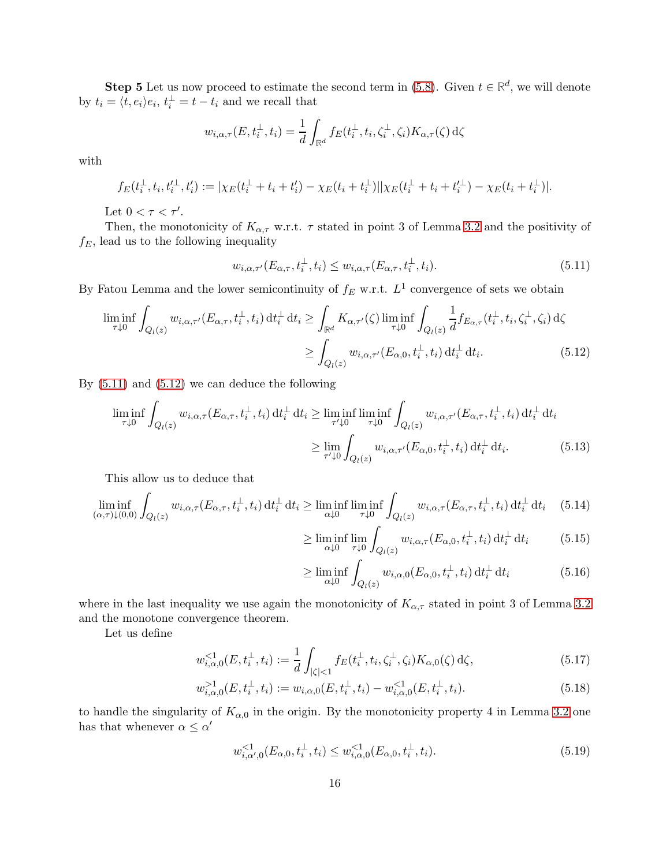**Step 5** Let us now proceed to estimate the second term in [\(5.8\)](#page-14-0). Given  $t \in \mathbb{R}^d$ , we will denote by  $t_i = \langle t, e_i \rangle e_i, t_i^{\perp} = t - t_i$  and we recall that

$$
w_{i,\alpha,\tau}(E,t_i^{\perp},t_i) = \frac{1}{d} \int_{\mathbb{R}^d} f_E(t_i^{\perp},t_i,\zeta_i^{\perp},\zeta_i) K_{\alpha,\tau}(\zeta) d\zeta
$$

with

$$
f_E(t_i^{\perp}, t_i, t_i'^{\perp}, t_i') := |\chi_E(t_i^{\perp} + t_i + t_i') - \chi_E(t_i + t_i^{\perp})| |\chi_E(t_i^{\perp} + t_i + t_i'^{\perp}) - \chi_E(t_i + t_i^{\perp})|.
$$

Let  $0 < \tau < \tau'$ .

Then, the monotonicity of  $K_{\alpha,\tau}$  w.r.t.  $\tau$  stated in point 3 of Lemma [3.2](#page-6-2) and the positivity of  $f_E$ , lead us to the following inequality

<span id="page-15-0"></span>
$$
w_{i,\alpha,\tau'}(E_{\alpha,\tau},t_i^{\perp},t_i) \le w_{i,\alpha,\tau}(E_{\alpha,\tau},t_i^{\perp},t_i). \tag{5.11}
$$

By Fatou Lemma and the lower semicontinuity of  $f_E$  w.r.t.  $L^1$  convergence of sets we obtain

$$
\liminf_{\tau \downarrow 0} \int_{Q_l(z)} w_{i,\alpha,\tau'}(E_{\alpha,\tau}, t_i^{\perp}, t_i) dt_i^{\perp} dt_i \ge \int_{\mathbb{R}^d} K_{\alpha,\tau'}(\zeta) \liminf_{\tau \downarrow 0} \int_{Q_l(z)} \frac{1}{d} f_{E_{\alpha,\tau}}(t_i^{\perp}, t_i, \zeta_i^{\perp}, \zeta_i) d\zeta
$$
\n
$$
\ge \int_{Q_l(z)} w_{i,\alpha,\tau'}(E_{\alpha,0}, t_i^{\perp}, t_i) dt_i^{\perp} dt_i. \tag{5.12}
$$

By [\(5.11\)](#page-15-0) and [\(5.12\)](#page-15-1) we can deduce the following

$$
\liminf_{\tau \downarrow 0} \int_{Q_l(z)} w_{i,\alpha,\tau}(E_{\alpha,\tau}, t_i^{\perp}, t_i) dt_i^{\perp} dt_i \ge \liminf_{\tau' \downarrow 0} \liminf_{\tau \downarrow 0} \int_{Q_l(z)} w_{i,\alpha,\tau'}(E_{\alpha,\tau}, t_i^{\perp}, t_i) dt_i^{\perp} dt_i
$$
\n
$$
\ge \lim_{\tau' \downarrow 0} \int_{Q_l(z)} w_{i,\alpha,\tau'}(E_{\alpha,0}, t_i^{\perp}, t_i) dt_i^{\perp} dt_i. \tag{5.13}
$$

This allow us to deduce that

$$
\liminf_{(\alpha,\tau)\downarrow(0,0)} \int_{Q_l(z)} w_{i,\alpha,\tau}(E_{\alpha,\tau},t_i^\perp,t_i) dt_i^\perp dt_i \ge \liminf_{\alpha\downarrow 0} \liminf_{\tau\downarrow 0} \int_{Q_l(z)} w_{i,\alpha,\tau}(E_{\alpha,\tau},t_i^\perp,t_i) dt_i^\perp dt_i \quad (5.14)
$$

<span id="page-15-1"></span>
$$
\geq \liminf_{\alpha \downarrow 0} \lim_{\tau \downarrow 0} \int_{Q_l(z)} w_{i,\alpha,\tau}(E_{\alpha,0}, t_i^{\perp}, t_i) dt_i^{\perp} dt_i \tag{5.15}
$$

<span id="page-15-2"></span>
$$
\geq \liminf_{\alpha \downarrow 0} \int_{Q_l(z)} w_{i,\alpha,0}(E_{\alpha,0}, t_i^{\perp}, t_i) dt_i^{\perp} dt_i \tag{5.16}
$$

where in the last inequality we use again the monotonicity of  $K_{\alpha,\tau}$  stated in point 3 of Lemma [3.2](#page-6-2) and the monotone convergence theorem.

Let us define

$$
w_{i,\alpha,0}^{\leq 1}(E,t_i^{\perp},t_i) := \frac{1}{d} \int_{|\zeta| < 1} f_E(t_i^{\perp},t_i,\zeta_i^{\perp},\zeta_i) K_{\alpha,0}(\zeta) \,d\zeta,\tag{5.17}
$$

$$
w_{i,\alpha,0}^{>1}(E, t_i^{\perp}, t_i) := w_{i,\alpha,0}(E, t_i^{\perp}, t_i) - w_{i,\alpha,0}^{<1}(E, t_i^{\perp}, t_i).
$$
\n(5.18)

to handle the singularity of  $K_{\alpha,0}$  in the origin. By the monotonicity property 4 in Lemma [3.2](#page-6-2) one has that whenever  $\alpha \leq \alpha'$ 

$$
w_{i,\alpha',0}^{<1}(E_{\alpha,0}, t_i^{\perp}, t_i) \le w_{i,\alpha,0}^{<1}(E_{\alpha,0}, t_i^{\perp}, t_i).
$$
\n(5.19)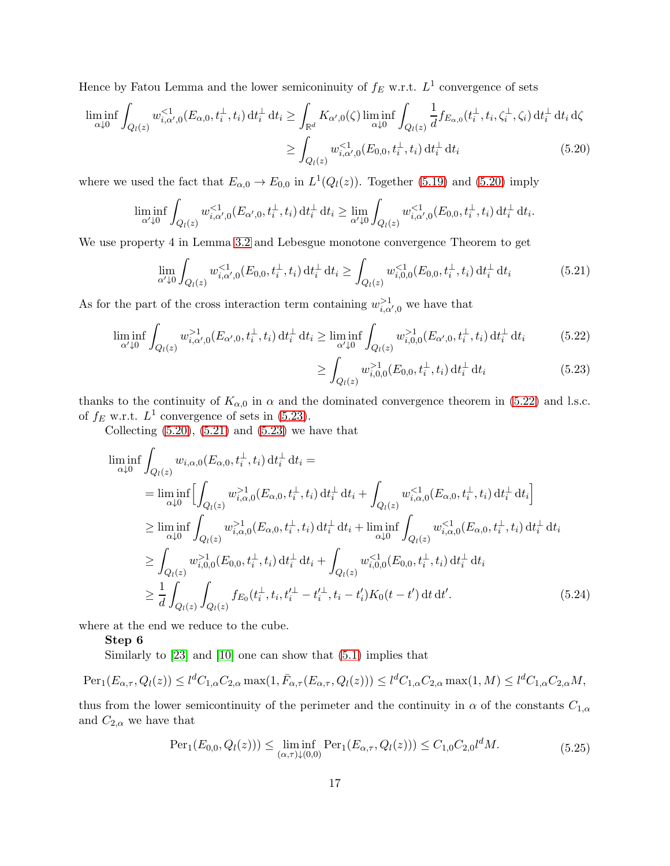Hence by Fatou Lemma and the lower semiconinuity of  $f_E$  w.r.t.  $L^1$  convergence of sets

$$
\liminf_{\alpha \downarrow 0} \int_{Q_l(z)} w_{i,\alpha',0}^{<1}(E_{\alpha,0}, t_i^{\perp}, t_i) dt_i^{\perp} dt_i \ge \int_{\mathbb{R}^d} K_{\alpha',0}(\zeta) \liminf_{\alpha \downarrow 0} \int_{Q_l(z)} \frac{1}{d} f_{E_{\alpha,0}}(t_i^{\perp}, t_i, \zeta_i^{\perp}, \zeta_i) dt_i^{\perp} dt_i d\zeta
$$
\n
$$
\ge \int_{Q_l(z)} w_{i,\alpha',0}^{<1}(E_{0,0}, t_i^{\perp}, t_i) dt_i^{\perp} dt_i \tag{5.20}
$$

where we used the fact that  $E_{\alpha,0} \to E_{0,0}$  in  $L^1(Q_l(z))$ . Together [\(5.19\)](#page-15-2) and [\(5.20\)](#page-16-0) imply

$$
\liminf_{\alpha'\downarrow 0} \int_{Q_l(z)} w_{i,\alpha',0}^{<1}(E_{\alpha',0}, t_i^{\perp}, t_i) dt_i^{\perp} dt_i \ge \lim_{\alpha'\downarrow 0} \int_{Q_l(z)} w_{i,\alpha',0}^{<1}(E_{0,0}, t_i^{\perp}, t_i) dt_i^{\perp} dt_i.
$$

We use property 4 in Lemma [3.2](#page-6-2) and Lebesgue monotone convergence Theorem to get

$$
\lim_{\alpha' \downarrow 0} \int_{Q_l(z)} w_{i,\alpha',0}^{<1}(E_{0,0}, t_i^{\perp}, t_i) dt_i^{\perp} dt_i \ge \int_{Q_l(z)} w_{i,0,0}^{<1}(E_{0,0}, t_i^{\perp}, t_i) dt_i^{\perp} dt_i
$$
\n(5.21)

As for the part of the cross interaction term containing  $w_{i,\alpha',0}^{>1}$  we have that

$$
\liminf_{\alpha' \downarrow 0} \int_{Q_l(z)} w_{i,\alpha',0}^{>1}(E_{\alpha',0}, t_i^{\perp}, t_i) dt_i^{\perp} dt_i \ge \liminf_{\alpha' \downarrow 0} \int_{Q_l(z)} w_{i,0,0}^{>1}(E_{\alpha',0}, t_i^{\perp}, t_i) dt_i^{\perp} dt_i \tag{5.22}
$$

<span id="page-16-5"></span><span id="page-16-3"></span><span id="page-16-2"></span><span id="page-16-1"></span><span id="page-16-0"></span>
$$
\geq \int_{Q_l(z)} w_{i,0,0}^{>1}(E_{0,0}, t_i^{\perp}, t_i) dt_i^{\perp} dt_i
$$
\n(5.23)

thanks to the continuity of  $K_{\alpha,0}$  in  $\alpha$  and the dominated convergence theorem in [\(5.22\)](#page-16-1) and l.s.c. of  $f_E$  w.r.t.  $L^1$  convergence of sets in [\(5.23\)](#page-16-2).

Collecting  $(5.20)$ ,  $(5.21)$  and  $(5.23)$  we have that

$$
\liminf_{\alpha \downarrow 0} \int_{Q_{l}(z)} w_{i,\alpha,0}(E_{\alpha,0}, t_{i}^{\perp}, t_{i}) dt_{i}^{\perp} dt_{i} =
$$
\n
$$
= \liminf_{\alpha \downarrow 0} \Biggl[ \int_{Q_{l}(z)} w_{i,\alpha,0}^{>1}(E_{\alpha,0}, t_{i}^{\perp}, t_{i}) dt_{i}^{\perp} dt_{i} + \int_{Q_{l}(z)} w_{i,\alpha,0}^{<1}(E_{\alpha,0}, t_{i}^{\perp}, t_{i}) dt_{i}^{\perp} dt_{i} \Biggr]
$$
\n
$$
\geq \liminf_{\alpha \downarrow 0} \int_{Q_{l}(z)} w_{i,\alpha,0}^{>1}(E_{\alpha,0}, t_{i}^{\perp}, t_{i}) dt_{i}^{\perp} dt_{i} + \liminf_{\alpha \downarrow 0} \int_{Q_{l}(z)} w_{i,\alpha,0}^{<1}(E_{\alpha,0}, t_{i}^{\perp}, t_{i}) dt_{i}^{\perp} dt_{i}
$$
\n
$$
\geq \int_{Q_{l}(z)} w_{i,0,0}^{>1}(E_{0,0}, t_{i}^{\perp}, t_{i}) dt_{i}^{\perp} dt_{i} + \int_{Q_{l}(z)} w_{i,0,0}^{<1}(E_{0,0}, t_{i}^{\perp}, t_{i}) dt_{i}^{\perp} dt_{i}
$$
\n
$$
\geq \frac{1}{d} \int_{Q_{l}(z)} \int_{Q_{l}(z)} f_{E_{0}}(t_{i}^{\perp}, t_{i}, t_{i}^{\prime \perp} - t_{i}^{\prime \perp}, t_{i} - t_{i}^{\prime}) K_{0}(t - t^{\prime}) dt dt^{\prime}.
$$
\n(5.24)

where at the end we reduce to the cube.

#### Step 6

Similarly to [\[23\]](#page-28-0) and [\[10\]](#page-27-0) one can show that [\(5.1\)](#page-11-2) implies that

$$
Per_1(E_{\alpha,\tau}, Q_l(z)) \le l^d C_{1,\alpha} C_{2,\alpha} \max(1, \bar{F}_{\alpha,\tau}(E_{\alpha,\tau}, Q_l(z))) \le l^d C_{1,\alpha} C_{2,\alpha} \max(1, M) \le l^d C_{1,\alpha} C_{2,\alpha} M,
$$

thus from the lower semicontinuity of the perimeter and the continuity in  $\alpha$  of the constants  $C_{1,\alpha}$ and  $C_{2,\alpha}$  we have that

<span id="page-16-4"></span>
$$
\text{Per}_1(E_{0,0}, Q_l(z))) \le \liminf_{(\alpha,\tau)\downarrow(0,0)} \text{Per}_1(E_{\alpha,\tau}, Q_l(z))) \le C_{1,0} C_{2,0} l^d M. \tag{5.25}
$$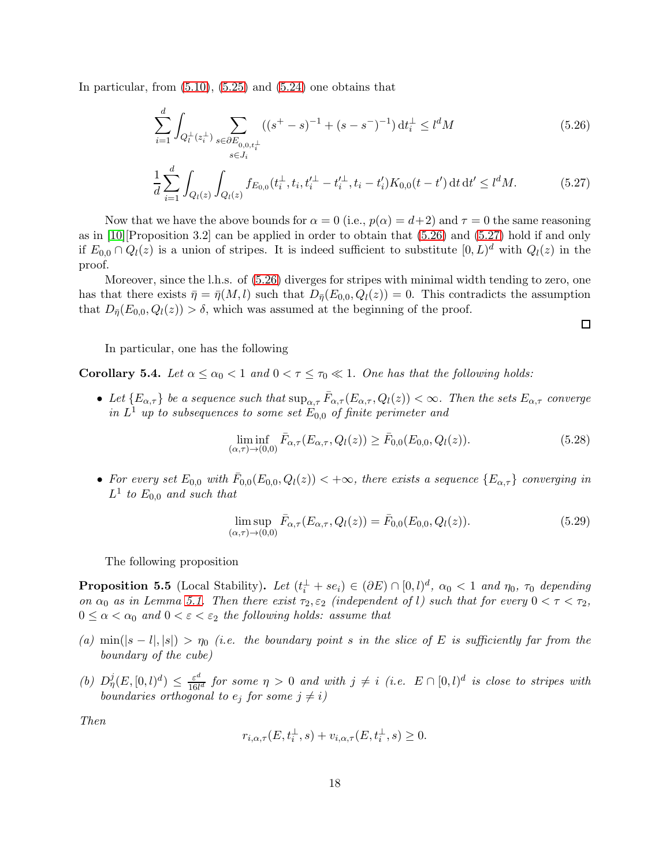In particular, from  $(5.10)$ ,  $(5.25)$  and  $(5.24)$  one obtains that

$$
\sum_{i=1}^{d} \int_{Q_{l}^{\perp}(z_{i}^{\perp})} \sum_{\substack{s \in \partial E_{0,0,t_{i}^{\perp}} \\ s \in J_{i}}} ((s^{+}-s)^{-1} + (s-s^{-})^{-1}) dt_{i}^{\perp} \leq l^{d} M \tag{5.26}
$$

$$
\frac{1}{d} \sum_{i=1}^{d} \int_{Q_l(z)} \int_{Q_l(z)} f_{E_{0,0}}(t_i^{\perp}, t_i, t_i'^{\perp} - t_i'^{\perp}, t_i - t_i') K_{0,0}(t - t') dt dt' \le l^d M.
$$
 (5.27)

Now that we have the above bounds for  $\alpha = 0$  (i.e.,  $p(\alpha) = d+2$ ) and  $\tau = 0$  the same reasoning as in  $[10]$ [Proposition 3.2] can be applied in order to obtain that  $(5.26)$  and  $(5.27)$  hold if and only if  $E_{0,0} \cap Q_l(z)$  is a union of stripes. It is indeed sufficient to substitute  $[0,L)^d$  with  $Q_l(z)$  in the proof.

Moreover, since the l.h.s. of [\(5.26\)](#page-17-1) diverges for stripes with minimal width tending to zero, one has that there exists  $\bar{\eta} = \bar{\eta}(M, l)$  such that  $D_{\bar{\eta}}(E_{0,0}, Q_l(z)) = 0$ . This contradicts the assumption that  $D_{\bar{\eta}}(E_{0,0}, Q_l(z)) > \delta$ , which was assumed at the beginning of the proof.

In particular, one has the following

Corollary 5.4. Let  $\alpha \leq \alpha_0 < 1$  and  $0 < \tau \leq \tau_0 \ll 1$ . One has that the following holds:

• Let  ${E_{\alpha,\tau}}$  be a sequence such that  $\sup_{\alpha,\tau} \bar{F}_{\alpha,\tau}(E_{\alpha,\tau},Q_l(z)) < \infty$ . Then the sets  $E_{\alpha,\tau}$  converge in  $L^1$  up to subsequences to some set  $\dot{E}_{0,0}$  of finite perimeter and

$$
\liminf_{(\alpha,\tau)\to(0,0)} \bar{F}_{\alpha,\tau}(E_{\alpha,\tau}, Q_l(z)) \ge \bar{F}_{0,0}(E_{0,0}, Q_l(z)).
$$
\n(5.28)

<span id="page-17-2"></span><span id="page-17-1"></span> $\Box$ 

• For every set  $E_{0,0}$  with  $\bar{F}_{0,0}(E_{0,0}, Q_l(z)) < +\infty$ , there exists a sequence  $\{E_{\alpha,\tau}\}\$  converging in  $L^1$  to  $E_{0,0}$  and such that

$$
\limsup_{(\alpha,\tau)\to(0,0)} \bar{F}_{\alpha,\tau}(E_{\alpha,\tau}, Q_l(z)) = \bar{F}_{0,0}(E_{0,0}, Q_l(z)).
$$
\n(5.29)

The following proposition

<span id="page-17-0"></span>**Proposition 5.5** (Local Stability). Let  $(t_i^{\perp} + s e_i) \in (\partial E) \cap [0, l)^d$ ,  $\alpha_0 < 1$  and  $\eta_0$ ,  $\tau_0$  depending on  $\alpha_0$  as in Lemma [5.1.](#page-11-0) Then there exist  $\tau_2, \varepsilon_2$  (independent of l) such that for every  $0 < \tau < \tau_2$ ,  $0 \leq \alpha < \alpha_0$  and  $0 < \varepsilon < \varepsilon_2$  the following holds: assume that

- (a) min(|s l|, |s|) >  $\eta_0$  (i.e. the boundary point s in the slice of E is sufficiently far from the boundary of the cube)
- (b)  $D_{\eta}^{j}(E,[0,l)^{d}) \leq \frac{\varepsilon^{d}}{16l}$  $\frac{\varepsilon^a}{16l^d}$  for some  $\eta > 0$  and with  $j \neq i$  (i.e.  $E \cap [0, l)^d$  is close to stripes with boundaries orthogonal to  $e_j$  for some  $j \neq i$ )

Then

$$
r_{i,\alpha,\tau}(E, t_i^{\perp}, s) + v_{i,\alpha,\tau}(E, t_i^{\perp}, s) \ge 0.
$$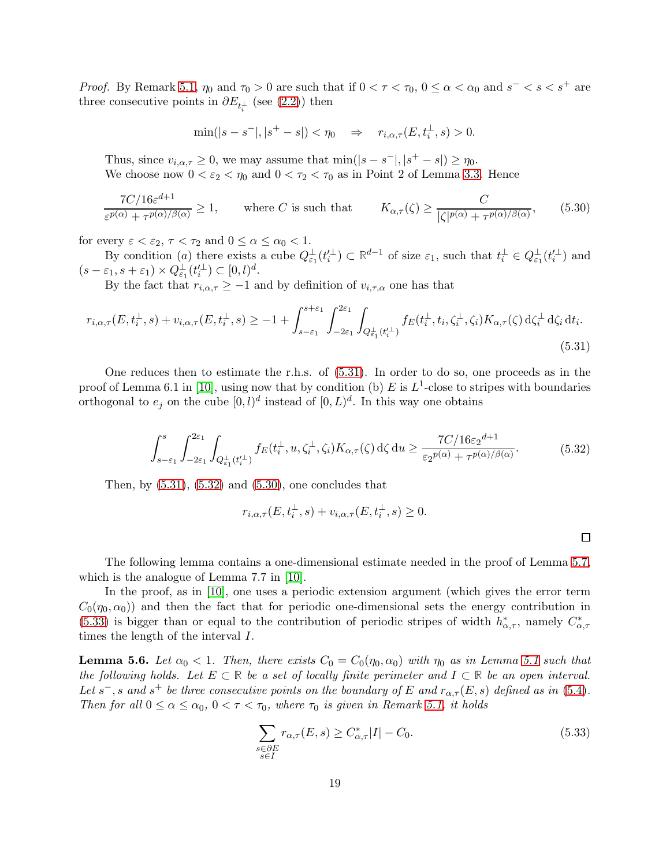*Proof.* By Remark [5.1,](#page-11-0)  $\eta_0$  and  $\tau_0 > 0$  are such that if  $0 < \tau < \tau_0$ ,  $0 \le \alpha < \alpha_0$  and  $s^- < s < s^+$  are three consecutive points in  $\partial E_{t_i^{\perp}}$  (see [\(2.2\)](#page-3-0)) then

<span id="page-18-3"></span>
$$
\min(|s-s^-|, |s^+ - s|) < \eta_0 \quad \Rightarrow \quad r_{i,\alpha,\tau}(E, t_i^\perp, s) > 0.
$$

Thus, since  $v_{i,\alpha,\tau} \geq 0$ , we may assume that  $\min(|s-s^-|, |s^+ - s|) \geq \eta_0$ . We choose now  $0 < \varepsilon_2 < \eta_0$  and  $0 < \tau_2 < \tau_0$  as in Point 2 of Lemma [3.3.](#page-7-4) Hence

$$
\frac{7C/16\varepsilon^{d+1}}{\varepsilon^{p(\alpha)} + \tau^{p(\alpha)/\beta(\alpha)}} \ge 1, \qquad \text{where } C \text{ is such that} \qquad K_{\alpha,\tau}(\zeta) \ge \frac{C}{|\zeta|^{p(\alpha)} + \tau^{p(\alpha)/\beta(\alpha)}},\tag{5.30}
$$

for every  $\varepsilon < \varepsilon_2$ ,  $\tau < \tau_2$  and  $0 \le \alpha \le \alpha_0 < 1$ .

By condition (a) there exists a cube  $Q_{\varepsilon_1}^{\perp}(t_i^{\prime \perp}) \subset \mathbb{R}^{d-1}$  of size  $\varepsilon_1$ , such that  $t_i^{\perp} \in Q_{\varepsilon_1}^{\perp}(t_i^{\prime \perp})$  and  $(s - \varepsilon_1, s + \varepsilon_1) \times Q_{\varepsilon_1}^{\perp}(t_i^{\perp}) \subset [0, l)^d.$ 

By the fact that  $r_{i,\alpha,\tau} \geq -1$  and by definition of  $v_{i,\tau,\alpha}$  one has that

$$
r_{i,\alpha,\tau}(E, t_i^{\perp}, s) + v_{i,\alpha,\tau}(E, t_i^{\perp}, s) \ge -1 + \int_{s-\varepsilon_1}^{s+\varepsilon_1} \int_{-2\varepsilon_1}^{2\varepsilon_1} \int_{Q_{\varepsilon_1}^{\perp}(t_i^{\perp})} f_E(t_i^{\perp}, t_i, \zeta_i^{\perp}, \zeta_i) K_{\alpha,\tau}(\zeta) d\zeta_i^{\perp} d\zeta_i dt_i.
$$
\n(5.31)

<span id="page-18-2"></span>One reduces then to estimate the r.h.s. of [\(5.31\)](#page-18-1). In order to do so, one proceeds as in the proof of Lemma 6.1 in [\[10\]](#page-27-0), using now that by condition (b) E is  $L^1$ -close to stripes with boundaries orthogonal to  $e_j$  on the cube  $[0, l)^d$  instead of  $[0, L)^d$ . In this way one obtains

$$
\int_{s-\varepsilon_1}^s \int_{-2\varepsilon_1}^{2\varepsilon_1} \int_{Q_{\varepsilon_1}^\perp (t_i^\perp)} f_E(t_i^\perp, u, \zeta_i^\perp, \zeta_i) K_{\alpha, \tau}(\zeta) d\zeta du \ge \frac{7C/16\varepsilon_2^{d+1}}{\varepsilon_2^{p(\alpha)} + \tau^{p(\alpha)/\beta(\alpha)}}.
$$
(5.32)

Then, by  $(5.31)$ ,  $(5.32)$  and  $(5.30)$ , one concludes that

$$
r_{i,\alpha,\tau}(E, t_i^{\perp}, s) + v_{i,\alpha,\tau}(E, t_i^{\perp}, s) \ge 0.
$$

<span id="page-18-4"></span><span id="page-18-1"></span> $\Box$ 

The following lemma contains a one-dimensional estimate needed in the proof of Lemma [5.7,](#page-19-0) which is the analogue of Lemma 7.7 in [\[10\]](#page-27-0).

In the proof, as in [\[10\]](#page-27-0), one uses a periodic extension argument (which gives the error term  $C_0(\eta_0, \alpha_0)$  and then the fact that for periodic one-dimensional sets the energy contribution in [\(5.33\)](#page-18-4) is bigger than or equal to the contribution of periodic stripes of width  $h^*_{\alpha,\tau}$ , namely  $C^*_{\alpha,\tau}$ times the length of the interval I.

<span id="page-18-0"></span>**Lemma 5.6.** Let  $\alpha_0 < 1$ . Then, there exists  $C_0 = C_0(\eta_0, \alpha_0)$  with  $\eta_0$  as in Lemma [5.1](#page-11-0) such that the following holds. Let  $E \subset \mathbb{R}$  be a set of locally finite perimeter and  $I \subset \mathbb{R}$  be an open interval. Let s<sup>-</sup>, s and s<sup>+</sup> be three consecutive points on the boundary of E and  $r_{\alpha,\tau}(E,s)$  defined as in [\(5.4\)](#page-12-0). Then for all  $0 \le \alpha \le \alpha_0$ ,  $0 < \tau < \tau_0$ , where  $\tau_0$  is given in Remark [5.1,](#page-11-0) it holds

$$
\sum_{\substack{s \in \partial E \\ s \in I}} r_{\alpha,\tau}(E,s) \ge C_{\alpha,\tau}^* |I| - C_0.
$$
\n(5.33)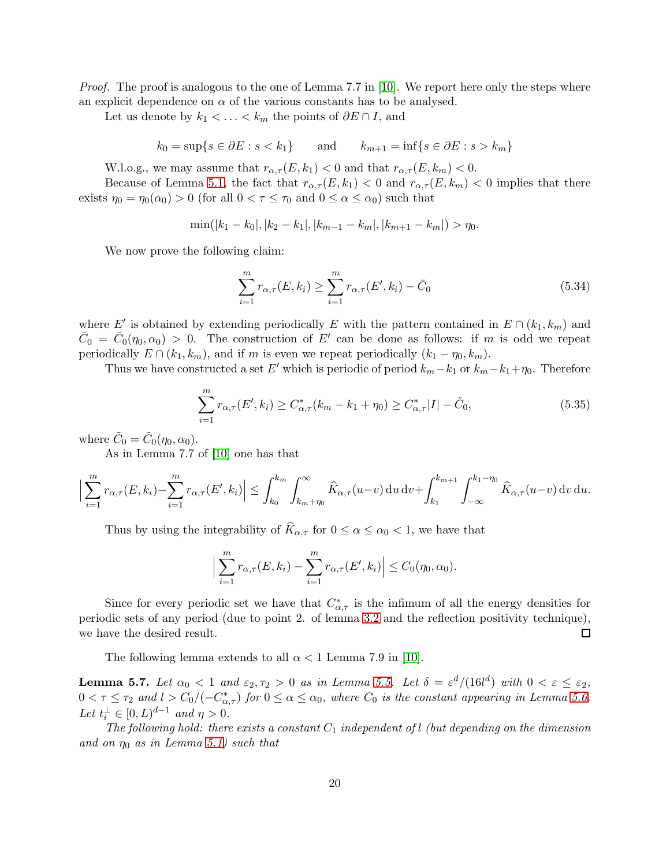*Proof.* The proof is analogous to the one of Lemma 7.7 in [\[10\]](#page-27-0). We report here only the steps where an explicit dependence on  $\alpha$  of the various constants has to be analysed.

Let us denote by  $k_1 < \ldots < k_m$  the points of  $\partial E \cap I$ , and

$$
k_0 = \sup\{s \in \partial E : s < k_1\} \qquad \text{and} \qquad k_{m+1} = \inf\{s \in \partial E : s > k_m\}
$$

W.l.o.g., we may assume that  $r_{\alpha,\tau}(E, k_1) < 0$  and that  $r_{\alpha,\tau}(E, k_m) < 0$ .

Because of Lemma [5.1,](#page-11-0) the fact that  $r_{\alpha,\tau}(E, k_1) < 0$  and  $r_{\alpha,\tau}(E, k_m) < 0$  implies that there exists  $\eta_0 = \eta_0(\alpha_0) > 0$  (for all  $0 < \tau \leq \tau_0$  and  $0 \leq \alpha \leq \alpha_0$ ) such that

$$
\min(|k_1 - k_0|, |k_2 - k_1|, |k_{m-1} - k_m|, |k_{m+1} - k_m|) > \eta_0.
$$

We now prove the following claim:

$$
\sum_{i=1}^{m} r_{\alpha,\tau}(E,k_i) \ge \sum_{i=1}^{m} r_{\alpha,\tau}(E',k_i) - \bar{C}_0
$$
\n(5.34)

where E' is obtained by extending periodically E with the pattern contained in  $E \cap (k_1, k_m)$  and  $\bar{C}_0 = \bar{C}_0(\eta_0, \alpha_0) > 0$ . The construction of E' can be done as follows: if m is odd we repeat periodically  $E \cap (k_1, k_m)$ , and if m is even we repeat periodically  $(k_1 - \eta_0, k_m)$ .

Thus we have constructed a set E' which is periodic of period  $k_m-k_1$  or  $k_m-k_1+\eta_0$ . Therefore

$$
\sum_{i=1}^{m} r_{\alpha,\tau}(E',k_i) \ge C_{\alpha,\tau}^*(k_m - k_1 + \eta_0) \ge C_{\alpha,\tau}^* |I| - \tilde{C}_0,
$$
\n(5.35)

where  $\tilde{C}_0 = \tilde{C}_0(\eta_0, \alpha_0)$ .

As in Lemma 7.7 of [\[10\]](#page-27-0) one has that

$$
\Big|\sum_{i=1}^m r_{\alpha,\tau}(E,k_i) - \sum_{i=1}^m r_{\alpha,\tau}(E',k_i)\Big| \leq \int_{k_0}^{k_m} \int_{k_m + \eta_0}^{\infty} \widehat{K}_{\alpha,\tau}(u-v) \, \mathrm{d}u \, \mathrm{d}v + \int_{k_1}^{k_{m+1}} \int_{-\infty}^{k_1 - \eta_0} \widehat{K}_{\alpha,\tau}(u-v) \, \mathrm{d}v \, \mathrm{d}u.
$$

Thus by using the integrability of  $\widehat{K}_{\alpha,\tau}$  for  $0 \leq \alpha \leq \alpha_0 < 1$ , we have that

$$
\Big|\sum_{i=1}^m r_{\alpha,\tau}(E,k_i) - \sum_{i=1}^m r_{\alpha,\tau}(E',k_i)\Big| \leq C_0(\eta_0,\alpha_0).
$$

Since for every periodic set we have that  $C^*_{\alpha,\tau}$  is the infimum of all the energy densities for periodic sets of any period (due to point 2. of lemma [3.2](#page-6-2) and the reflection positivity technique), we have the desired result. □

The following lemma extends to all  $\alpha < 1$  Lemma 7.9 in [\[10\]](#page-27-0).

<span id="page-19-0"></span>**Lemma 5.7.** Let  $\alpha_0 < 1$  and  $\varepsilon_2, \tau_2 > 0$  as in Lemma [5.5.](#page-17-0) Let  $\delta = \varepsilon^d/(16l^d)$  with  $0 < \varepsilon \leq \varepsilon_2$ ,  $0 < \tau \leq \tau_2$  and  $l > C_0/(-C^*_{\alpha,\tau})$  for  $0 \leq \alpha \leq \alpha_0$ , where  $C_0$  is the constant appearing in Lemma [5.6.](#page-18-0) Let  $t_i^{\perp} \in [0, L)^{d-1}$  and  $\eta > 0$ .

The following hold: there exists a constant  $C_1$  independent of l (but depending on the dimension and on  $\eta_0$  as in Lemma [5.1\)](#page-11-0) such that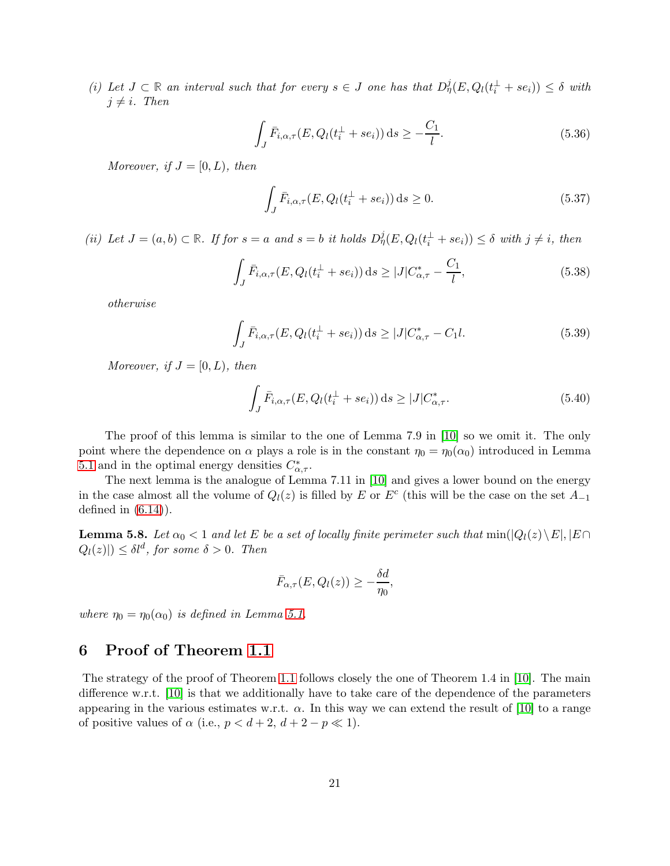(i) Let  $J \subset \mathbb{R}$  an interval such that for every  $s \in J$  one has that  $D_{\eta}^{j}(E, Q_{l}(t_i^{\perp} + s e_i)) \leq \delta$  with  $j \neq i$ . Then

$$
\int_{J} \bar{F}_{i,\alpha,\tau}(E, Q_l(t_i^{\perp} + s e_i)) \, \mathrm{d}s \ge -\frac{C_1}{l}.\tag{5.36}
$$

Moreover, if  $J = [0, L)$ , then

<span id="page-20-3"></span><span id="page-20-1"></span>
$$
\int_{J} \bar{F}_{i,\alpha,\tau}(E, Q_l(t_i^{\perp} + s e_i)) \, \mathrm{d}s \ge 0. \tag{5.37}
$$

(ii) Let  $J = (a, b) \subset \mathbb{R}$ . If for  $s = a$  and  $s = b$  it holds  $D_{\eta}^{j}(E, Q_{l}(t_{i}^{\perp} + s e_{i})) \leq \delta$  with  $j \neq i$ , then

$$
\int_{J} \bar{F}_{i,\alpha,\tau}(E, Q_l(t_i^{\perp} + s e_i)) \, \mathrm{d}s \ge |J| C_{\alpha,\tau}^* - \frac{C_1}{l},\tag{5.38}
$$

<span id="page-20-4"></span>otherwise

$$
\int_{J} \bar{F}_{i,\alpha,\tau}(E, Q_l(t_i^{\perp} + s e_i)) \, \mathrm{d}s \ge |J| C_{\alpha,\tau}^* - C_1 l. \tag{5.39}
$$

Moreover, if  $J = [0, L)$ , then

<span id="page-20-2"></span>
$$
\int_{J} \bar{F}_{i,\alpha,\tau}(E, Q_l(t_i^{\perp} + s e_i)) \, \mathrm{d}s \ge |J| C_{\alpha,\tau}^*.
$$
\n(5.40)

The proof of this lemma is similar to the one of Lemma 7.9 in [\[10\]](#page-27-0) so we omit it. The only point where the dependence on  $\alpha$  plays a role is in the constant  $\eta_0 = \eta_0(\alpha_0)$  introduced in Lemma [5.1](#page-11-0) and in the optimal energy densities  $C^*_{\alpha,\tau}$ .

The next lemma is the analogue of Lemma 7.11 in [\[10\]](#page-27-0) and gives a lower bound on the energy in the case almost all the volume of  $Q_l(z)$  is filled by E or  $E^c$  (this will be the case on the set  $A_{-1}$ defined in  $(6.14)$ .

<span id="page-20-0"></span>**Lemma 5.8.** Let  $\alpha_0 < 1$  and let E be a set of locally finite perimeter such that  $\min(|Q_l(z)\setminus E|, |E \cap E|)$  $Q_l(z)|) \leq \delta l^d$ , for some  $\delta > 0$ . Then

$$
\bar{F}_{\alpha,\tau}(E,Q_l(z)) \geq -\frac{\delta d}{\eta_0},
$$

where  $\eta_0 = \eta_0(\alpha_0)$  is defined in Lemma [5.1.](#page-11-0)

## 6 Proof of Theorem [1.1](#page-2-1)

The strategy of the proof of Theorem [1.1](#page-2-1) follows closely the one of Theorem 1.4 in [\[10\]](#page-27-0). The main difference w.r.t. [\[10\]](#page-27-0) is that we additionally have to take care of the dependence of the parameters appearing in the various estimates w.r.t.  $\alpha$ . In this way we can extend the result of [\[10\]](#page-27-0) to a range of positive values of  $\alpha$  (i.e.,  $p < d+2$ ,  $d+2-p \ll 1$ ).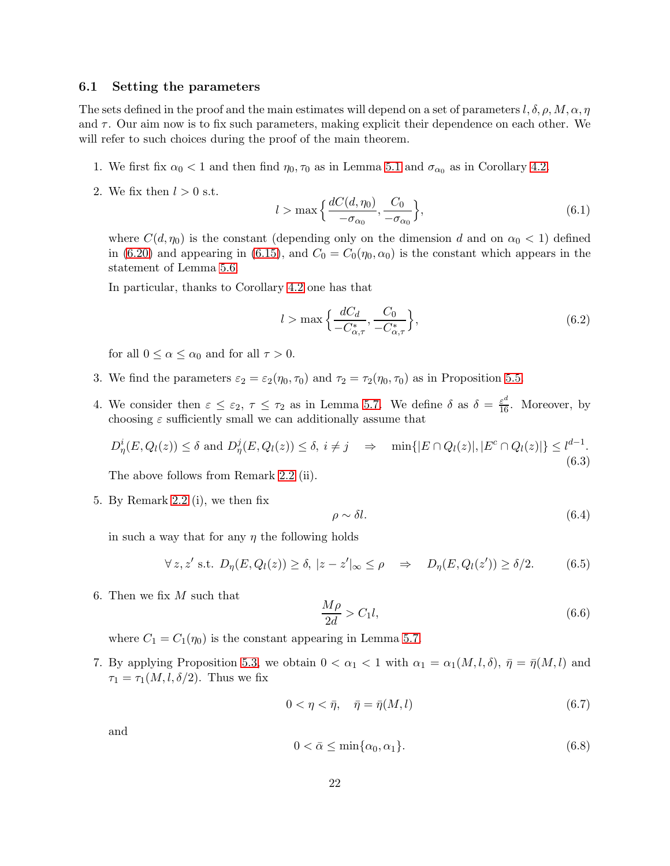#### <span id="page-21-0"></span>6.1 Setting the parameters

The sets defined in the proof and the main estimates will depend on a set of parameters  $l, \delta, \rho, M, \alpha, \eta$ and  $\tau$ . Our aim now is to fix such parameters, making explicit their dependence on each other. We will refer to such choices during the proof of the main theorem.

- 1. We first fix  $\alpha_0 < 1$  and then find  $\eta_0, \tau_0$  as in Lemma [5.1](#page-11-0) and  $\sigma_{\alpha_0}$  as in Corollary [4.2.](#page-10-0)
- 2. We fix then  $l > 0$  s.t.

<span id="page-21-5"></span>
$$
l > \max\left\{\frac{dC(d, \eta_0)}{-\sigma_{\alpha_0}}, \frac{C_0}{-\sigma_{\alpha_0}}\right\},\tag{6.1}
$$

where  $C(d, \eta_0)$  is the constant (depending only on the dimension d and on  $\alpha_0 < 1$ ) defined in [\(6.20\)](#page-26-3) and appearing in [\(6.15\)](#page-23-1), and  $C_0 = C_0(\eta_0, \alpha_0)$  is the constant which appears in the statement of Lemma [5.6.](#page-18-0)

In particular, thanks to Corollary [4.2](#page-10-0) one has that

<span id="page-21-4"></span>
$$
l > \max\left\{\frac{dC_d}{-C^*_{\alpha,\tau}}, \frac{C_0}{-C^*_{\alpha,\tau}}\right\},\tag{6.2}
$$

for all  $0 \leq \alpha \leq \alpha_0$  and for all  $\tau > 0$ .

- 3. We find the parameters  $\varepsilon_2 = \varepsilon_2(\eta_0, \tau_0)$  and  $\tau_2 = \tau_2(\eta_0, \tau_0)$  as in Proposition [5.5.](#page-17-0)
- 4. We consider then  $\varepsilon \leq \varepsilon_2$ ,  $\tau \leq \tau_2$  as in Lemma [5.7.](#page-19-0) We define  $\delta$  as  $\delta = \frac{\varepsilon^d}{16}$ . Moreover, by choosing  $\varepsilon$  sufficiently small we can additionally assume that

$$
D_{\eta}^{i}(E, Q_{l}(z)) \leq \delta \text{ and } D_{\eta}^{j}(E, Q_{l}(z)) \leq \delta, i \neq j \quad \Rightarrow \quad \min\{|E \cap Q_{l}(z)|, |E^{c} \cap Q_{l}(z)|\} \leq l^{d-1}.
$$
\n
$$
(6.3)
$$

The above follows from Remark [2.2](#page-6-3) (ii).

5. By Remark [2.2](#page-6-3) (i), we then fix

<span id="page-21-3"></span><span id="page-21-2"></span><span id="page-21-1"></span>
$$
\rho \sim \delta l. \tag{6.4}
$$

in such a way that for any  $\eta$  the following holds

$$
\forall z, z' \text{ s.t. } D_{\eta}(E, Q_l(z)) \ge \delta, \ |z - z'|_{\infty} \le \rho \quad \Rightarrow \quad D_{\eta}(E, Q_l(z')) \ge \delta/2. \tag{6.5}
$$

6. Then we fix  $M$  such that

<span id="page-21-6"></span>
$$
\frac{M\rho}{2d} > C_1 l,\tag{6.6}
$$

where  $C_1 = C_1(\eta_0)$  is the constant appearing in Lemma [5.7.](#page-19-0)

7. By applying Proposition [5.3,](#page-13-0) we obtain  $0 < \alpha_1 < 1$  with  $\alpha_1 = \alpha_1(M, l, \delta)$ ,  $\bar{\eta} = \bar{\eta}(M, l)$  and  $\tau_1 = \tau_1(M, l, \delta/2)$ . Thus we fix

$$
0 < \eta < \bar{\eta}, \quad \bar{\eta} = \bar{\eta}(M, l) \tag{6.7}
$$

and

$$
0 < \bar{\alpha} \le \min\{\alpha_0, \alpha_1\}. \tag{6.8}
$$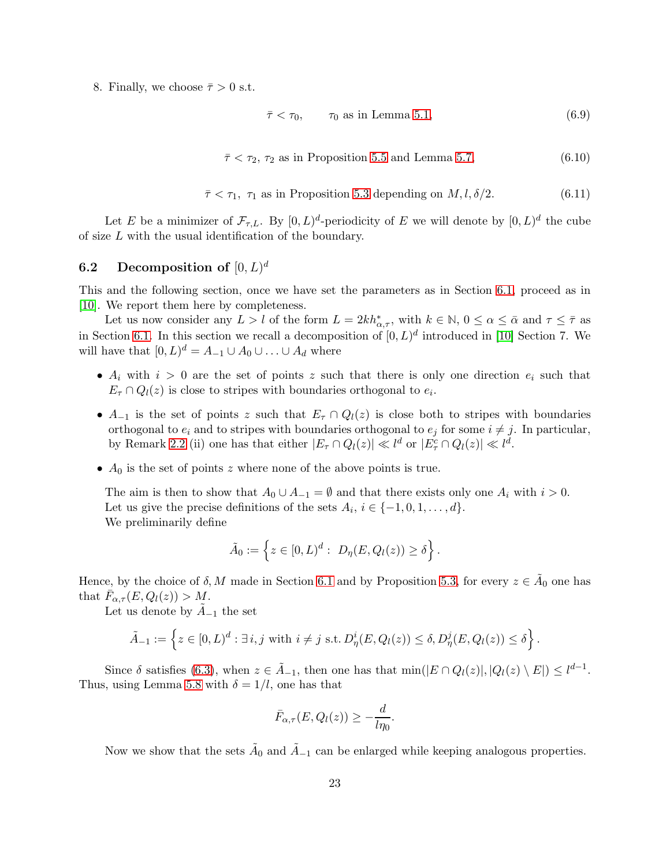<span id="page-22-0"></span>8. Finally, we choose  $\bar{\tau} > 0$  s.t.

$$
\bar{\tau} < \tau_0, \qquad \tau_0 \text{ as in Lemma 5.1}, \tag{6.9}
$$

$$
\bar{\tau} < \tau_2, \tau_2 \text{ as in Proposition 5.5 and Lemma 5.7}, \tag{6.10}
$$

$$
\bar{\tau} < \tau_1, \ \tau_1 \text{ as in Proposition 5.3 depending on } M, l, \delta/2. \tag{6.11}
$$

Let E be a minimizer of  $\mathcal{F}_{\tau,L}$ . By  $[0,L)^d$ -periodicity of E we will denote by  $[0,L)^d$  the cube of size L with the usual identification of the boundary.

## $\mathbf{6.2} \quad \textbf{Decomposition of } [0,L)^d$

This and the following section, once we have set the parameters as in Section [6.1,](#page-21-0) proceed as in [\[10\]](#page-27-0). We report them here by completeness.

Let us now consider any  $L > l$  of the form  $L = 2kh^*_{\alpha,\tau}$ , with  $k \in \mathbb{N}$ ,  $0 \leq \alpha \leq \bar{\alpha}$  and  $\tau \leq \bar{\tau}$  as in Section [6.1.](#page-21-0) In this section we recall a decomposition of  $[0, L)^d$  introduced in [\[10\]](#page-27-0) Section 7. We will have that  $[0, L)^d = A_{-1} \cup A_0 \cup \ldots \cup A_d$  where

- $A_i$  with  $i > 0$  are the set of points z such that there is only one direction  $e_i$  such that  $E_{\tau} \cap Q_{l}(z)$  is close to stripes with boundaries orthogonal to  $e_{i}$ .
- $A_{-1}$  is the set of points z such that  $E_{\tau} \cap Q_{l}(z)$  is close both to stripes with boundaries orthogonal to  $e_i$  and to stripes with boundaries orthogonal to  $e_j$  for some  $i \neq j$ . In particular, by Remark [2.2](#page-6-3) (ii) one has that either  $|E_{\tau} \cap Q_l(z)| \ll l^d$  or  $|E_{\tau}^c \cap Q_l(z)| \ll l^d$ .
- $A_0$  is the set of points z where none of the above points is true.

The aim is then to show that  $A_0 \cup A_{-1} = \emptyset$  and that there exists only one  $A_i$  with  $i > 0$ . Let us give the precise definitions of the sets  $A_i$ ,  $i \in \{-1, 0, 1, \ldots, d\}$ . We preliminarily define

$$
\tilde{A}_0 := \left\{ z \in [0, L)^d : D_{\eta}(E, Q_l(z)) \ge \delta \right\}.
$$

Hence, by the choice of  $\delta$ , M made in Section [6.1](#page-21-0) and by Proposition [5.3,](#page-13-0) for every  $z \in \tilde{A}_0$  one has that  $\bar{F}_{\alpha,\tau}(E,Q_l(z)) > M$ .

Let us denote by  $A_{-1}$  the set

$$
\tilde{A}_{-1} := \left\{ z \in [0, L)^d : \exists i, j \text{ with } i \neq j \text{ s.t. } D^i_\eta(E, Q_l(z)) \leq \delta, D^j_\eta(E, Q_l(z)) \leq \delta \right\}.
$$

Since  $\delta$  satisfies [\(6.3\)](#page-21-1), when  $z \in \tilde{A}_{-1}$ , then one has that  $\min(|E \cap Q_l(z)|, |Q_l(z) \setminus E|) \leq l^{d-1}$ . Thus, using Lemma [5.8](#page-20-0) with  $\delta = 1/l$ , one has that

$$
\bar{F}_{\alpha,\tau}(E,Q_l(z)) \geq -\frac{d}{l\eta_0}.
$$

Now we show that the sets  $\tilde{A}_0$  and  $\tilde{A}_{-1}$  can be enlarged while keeping analogous properties.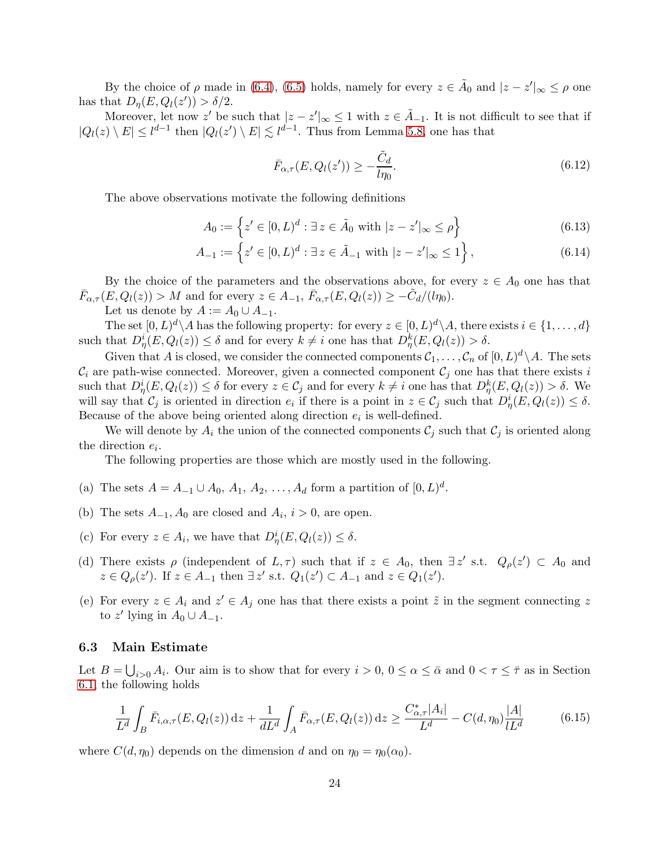By the choice of  $\rho$  made in [\(6.4\)](#page-21-2), [\(6.5\)](#page-21-3) holds, namely for every  $z \in \tilde{A}_0$  and  $|z - z'|_{\infty} \le \rho$  one has that  $D_{\eta}(E, Q_l(z')) > \delta/2$ .

Moreover, let now z' be such that  $|z - z'|_{\infty} \leq 1$  with  $z \in \tilde{A}_{-1}$ . It is not difficult to see that if  $|Q_l(z) \setminus E| \leq l^{d-1}$  then  $|Q_l(z') \setminus E| \lesssim l^{d-1}$ . Thus from Lemma [5.8,](#page-20-0) one has that

<span id="page-23-2"></span><span id="page-23-0"></span>
$$
\bar{F}_{\alpha,\tau}(E,Q_l(z')) \ge -\frac{\tilde{C}_d}{l\eta_0}.\tag{6.12}
$$

The above observations motivate the following definitions

$$
A_0 := \left\{ z' \in [0, L)^d : \exists z \in \tilde{A}_0 \text{ with } |z - z'|_{\infty} \le \rho \right\}
$$
\n
$$
(6.13)
$$

$$
A_{-1} := \left\{ z' \in [0, L)^d : \exists \, z \in \tilde{A}_{-1} \text{ with } |z - z'|_{\infty} \le 1 \right\},\tag{6.14}
$$

By the choice of the parameters and the observations above, for every  $z \in A_0$  one has that  $\bar{F}_{\alpha,\tau}(E,Q_l(z)) > M$  and for every  $z \in A_{-1}$ ,  $\bar{F}_{\alpha,\tau}(E,Q_l(z)) \geq -\tilde{C}_d/(l\eta_0)$ .

Let us denote by  $A := A_0 \cup A_{-1}$ .

The set  $[0, L)^d \setminus A$  has the following property: for every  $z \in [0, L)^d \setminus A$ , there exists  $i \in \{1, \ldots, d\}$ such that  $D_{\eta}^{i}(E, Q_{l}(z)) \leq \delta$  and for every  $k \neq i$  one has that  $D_{\eta}^{k}(E, Q_{l}(z)) > \delta$ .

Given that A is closed, we consider the connected components  $C_1, \ldots, C_n$  of  $[0, L)^d \setminus A$ . The sets  $\mathcal{C}_i$  are path-wise connected. Moreover, given a connected component  $\mathcal{C}_j$  one has that there exists i such that  $D_{\eta}^{i}(E,Q_{l}(z)) \leq \delta$  for every  $z \in C_{j}$  and for every  $k \neq i$  one has that  $D_{\eta}^{k}(E,Q_{l}(z)) > \delta$ . We will say that  $\mathcal{C}_j$  is oriented in direction  $e_i$  if there is a point in  $z \in \mathcal{C}_j$  such that  $D^i_\eta(E, Q_l(z)) \leq \delta$ . Because of the above being oriented along direction  $e_i$  is well-defined.

We will denote by  $A_i$  the union of the connected components  $C_j$  such that  $C_j$  is oriented along the direction  $e_i$ .

The following properties are those which are mostly used in the following.

- (a) The sets  $A = A_{-1} \cup A_0, A_1, A_2, ..., A_d$  form a partition of  $[0, L)^d$ .
- (b) The sets  $A_{-1}$ ,  $A_0$  are closed and  $A_i$ ,  $i > 0$ , are open.
- (c) For every  $z \in A_i$ , we have that  $D^i_\eta(E, Q_l(z)) \leq \delta$ .
- (d) There exists  $\rho$  (independent of  $L, \tau$ ) such that if  $z \in A_0$ , then  $\exists z'$  s.t.  $Q_{\rho}(z') \subset A_0$  and  $z \in Q_{\rho}(z')$ . If  $z \in A_{-1}$  then  $\exists z'$  s.t.  $Q_1(z') \subset A_{-1}$  and  $z \in Q_1(z')$ .
- (e) For every  $z \in A_i$  and  $z' \in A_j$  one has that there exists a point  $\tilde{z}$  in the segment connecting z to z' lying in  $A_0 \cup A_{-1}$ .

#### 6.3 Main Estimate

Let  $B = \bigcup_{i>0} A_i$ . Our aim is to show that for every  $i > 0$ ,  $0 \le \alpha \le \bar{\alpha}$  and  $0 < \tau \le \bar{\tau}$  as in Section [6.1,](#page-21-0) the following holds

<span id="page-23-1"></span>
$$
\frac{1}{L^d} \int_B \bar{F}_{i,\alpha,\tau}(E, Q_l(z)) \, dz + \frac{1}{dL^d} \int_A \bar{F}_{\alpha,\tau}(E, Q_l(z)) \, dz \ge \frac{C_{\alpha,\tau}^* |A_i|}{L^d} - C(d, \eta_0) \frac{|A|}{lL^d} \tag{6.15}
$$

where  $C(d, \eta_0)$  depends on the dimension d and on  $\eta_0 = \eta_0(\alpha_0)$ .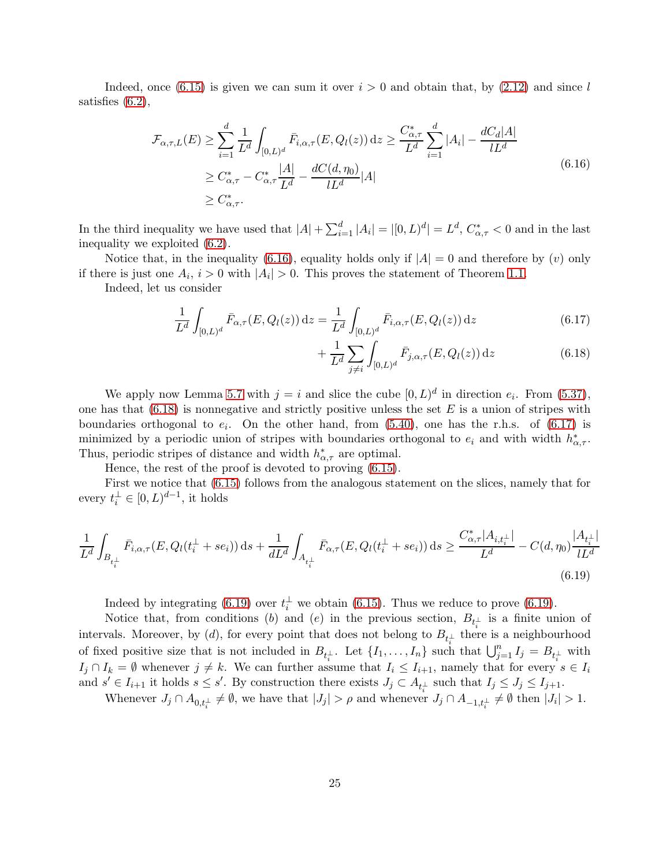Indeed, once [\(6.15\)](#page-23-1) is given we can sum it over  $i > 0$  and obtain that, by [\(2.12\)](#page-5-1) and since l satisfies [\(6.2\)](#page-21-4),

<span id="page-24-0"></span>
$$
\mathcal{F}_{\alpha,\tau,L}(E) \ge \sum_{i=1}^{d} \frac{1}{L^d} \int_{[0,L)^d} \bar{F}_{i,\alpha,\tau}(E, Q_l(z)) dz \ge \frac{C_{\alpha,\tau}^*}{L^d} \sum_{i=1}^{d} |A_i| - \frac{dC_d|A|}{L^d}
$$
\n
$$
\ge C_{\alpha,\tau}^* - C_{\alpha,\tau}^* \frac{|A|}{L^d} - \frac{dC(d, \eta_0)}{L^d} |A|
$$
\n
$$
\ge C_{\alpha,\tau}^*.
$$
\n(6.16)

In the third inequality we have used that  $|A| + \sum_{i=1}^{d} |A_i| = |[0, L)^d| = L^d$ ,  $C^*_{\alpha, \tau} < 0$  and in the last inequality we exploited [\(6.2\)](#page-21-4).

Notice that, in the inequality [\(6.16\)](#page-24-0), equality holds only if  $|A| = 0$  and therefore by (v) only if there is just one  $A_i$ ,  $i > 0$  with  $|A_i| > 0$ . This proves the statement of Theorem [1.1.](#page-2-1)

Indeed, let us consider

$$
\frac{1}{L^d} \int_{[0,L)^d} \bar{F}_{\alpha,\tau}(E, Q_l(z)) dz = \frac{1}{L^d} \int_{[0,L)^d} \bar{F}_{i,\alpha,\tau}(E, Q_l(z)) dz
$$
\n(6.17)

<span id="page-24-2"></span><span id="page-24-1"></span>
$$
+\frac{1}{L^d}\sum_{j\neq i}\int_{[0,L)^d}\bar{F}_{j,\alpha,\tau}(E,Q_l(z))\,\mathrm{d}z\tag{6.18}
$$

We apply now Lemma [5.7](#page-19-0) with  $j = i$  and slice the cube  $[0, L)^d$  in direction  $e_i$ . From [\(5.37\)](#page-20-1), one has that  $(6.18)$  is nonnegative and strictly positive unless the set E is a union of stripes with boundaries orthogonal to  $e_i$ . On the other hand, from  $(5.40)$ , one has the r.h.s. of  $(6.17)$  is minimized by a periodic union of stripes with boundaries orthogonal to  $e_i$  and with width  $h^*_{\alpha,\tau}$ . Thus, periodic stripes of distance and width  $h^*_{\alpha,\tau}$  are optimal.

Hence, the rest of the proof is devoted to proving [\(6.15\)](#page-23-1).

<span id="page-24-3"></span>First we notice that [\(6.15\)](#page-23-1) follows from the analogous statement on the slices, namely that for every  $t_i^{\perp} \in [0, L)^{d-1}$ , it holds

$$
\frac{1}{L^{d}} \int_{B_{t_{i}^{\perp}}} \bar{F}_{i,\alpha,\tau}(E, Q_{l}(t_{i}^{\perp} + se_{i})) \, \mathrm{d}s + \frac{1}{dL^{d}} \int_{A_{t_{i}^{\perp}}} \bar{F}_{\alpha,\tau}(E, Q_{l}(t_{i}^{\perp} + se_{i})) \, \mathrm{d}s \ge \frac{C_{\alpha,\tau}^{*} |A_{i,t_{i}^{\perp}}|}{L^{d}} - C(d, \eta_{0}) \frac{|A_{t_{i}^{\perp}}|}{L^{d}} \tag{6.19}
$$

Indeed by integrating [\(6.19\)](#page-24-3) over  $t_i^{\perp}$  we obtain [\(6.15\)](#page-23-1). Thus we reduce to prove (6.19).

Notice that, from conditions (b) and (e) in the previous section,  $B_{t_i^{\perp}}$  is a finite union of intervals. Moreover, by (d), for every point that does not belong to  $B_{t_i^{\perp}}$  there is a neighbourhood of fixed positive size that is not included in  $B_{t_i^{\perp}}$ . Let  $\{I_1,\ldots,I_n\}$  such that  $\bigcup_{j=1}^n I_j = B_{t_i^{\perp}}$  with  $I_j \cap I_k = \emptyset$  whenever  $j \neq k$ . We can further assume that  $I_i \leq I_{i+1}$ , namely that for every  $s \in I_i$ and  $s' \in I_{i+1}$  it holds  $s \leq s'$ . By construction there exists  $J_j \subset A_{t_i^{\perp}}$  such that  $I_j \leq J_j \leq I_{j+1}$ .

Whenever  $J_j \cap A_{0,t_i^{\perp}} \neq \emptyset$ , we have that  $|J_j| > \rho$  and whenever  $J_j \cap A_{-1,t_i^{\perp}} \neq \emptyset$  then  $|J_i| > 1$ .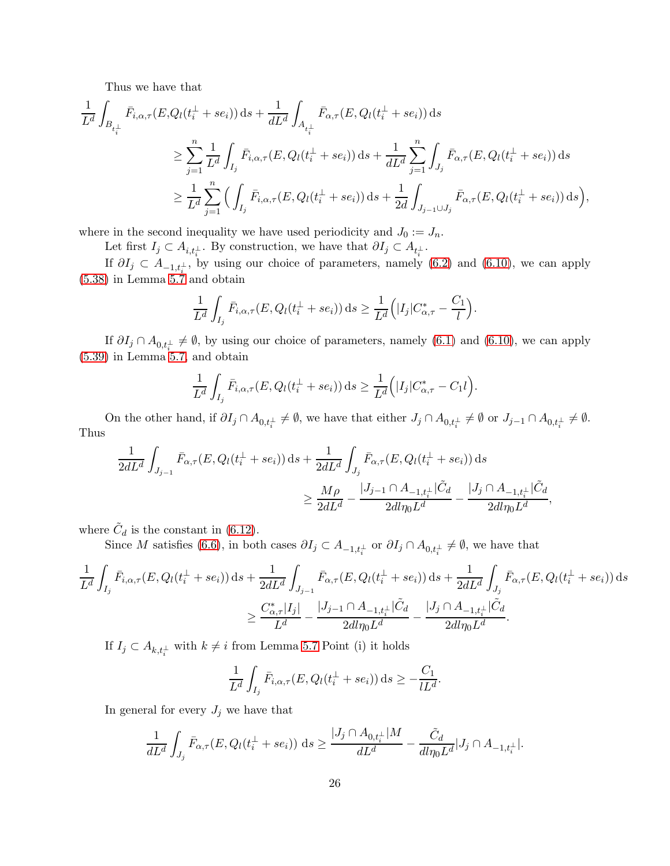Thus we have that

$$
\frac{1}{L^{d}} \int_{B_{t_{i}^{\perp}}} \bar{F}_{i,\alpha,\tau}(E, Q_{l}(t_{i}^{\perp} + se_{i})) ds + \frac{1}{dL^{d}} \int_{A_{t_{i}^{\perp}}} \bar{F}_{\alpha,\tau}(E, Q_{l}(t_{i}^{\perp} + se_{i})) ds \n\geq \sum_{j=1}^{n} \frac{1}{L^{d}} \int_{I_{j}} \bar{F}_{i,\alpha,\tau}(E, Q_{l}(t_{i}^{\perp} + se_{i})) ds + \frac{1}{dL^{d}} \sum_{j=1}^{n} \int_{J_{j}} \bar{F}_{\alpha,\tau}(E, Q_{l}(t_{i}^{\perp} + se_{i})) ds \n\geq \frac{1}{L^{d}} \sum_{j=1}^{n} \Big( \int_{I_{j}} \bar{F}_{i,\alpha,\tau}(E, Q_{l}(t_{i}^{\perp} + se_{i})) ds + \frac{1}{2d} \int_{J_{j-1} \cup J_{j}} \bar{F}_{\alpha,\tau}(E, Q_{l}(t_{i}^{\perp} + se_{i})) ds \Big),
$$

where in the second inequality we have used periodicity and  $J_0 := J_n$ .

Let first  $I_j \subset A_{i,t_i^{\perp}}$ . By construction, we have that  $\partial I_j \subset A_{t_i^{\perp}}$ .

If  $\partial I_j \subset A_{-1,t_i^{\perp}}$ , by using our choice of parameters, namely [\(6.2\)](#page-21-4) and [\(6.10\)](#page-22-0), we can apply [\(5.38\)](#page-20-3) in Lemma [5.7](#page-19-0) and obtain

$$
\frac{1}{L^d} \int_{I_j} \bar{F}_{i,\alpha,\tau}(E, Q_l(t_i^{\perp} + s e_i)) ds \geq \frac{1}{L^d} \Big( |I_j| C_{\alpha,\tau}^* - \frac{C_1}{l} \Big).
$$

If  $\partial I_j \cap A_{0,t_i^{\perp}} \neq \emptyset$ , by using our choice of parameters, namely [\(6.1\)](#page-21-5) and [\(6.10\)](#page-22-0), we can apply [\(5.39\)](#page-20-4) in Lemma [5.7,](#page-19-0) and obtain

$$
\frac{1}{L^d} \int_{I_j} \bar{F}_{i,\alpha,\tau}(E, Q_l(t_i^{\perp} + s e_i)) ds \geq \frac{1}{L^d} (|I_j| C_{\alpha,\tau}^* - C_1 l).
$$

On the other hand, if  $\partial I_j \cap A_{0,t_i^{\perp}} \neq \emptyset$ , we have that either  $J_j \cap A_{0,t_i^{\perp}} \neq \emptyset$  or  $J_{j-1} \cap A_{0,t_i^{\perp}} \neq \emptyset$ . Thus

$$
\frac{1}{2dL^{d}} \int_{J_{j-1}} \bar{F}_{\alpha,\tau}(E, Q_{l}(t_{i}^{\perp} + s e_{i})) \, ds + \frac{1}{2dL^{d}} \int_{J_{j}} \bar{F}_{\alpha,\tau}(E, Q_{l}(t_{i}^{\perp} + s e_{i})) \, ds
$$
\n
$$
\geq \frac{M\rho}{2dL^{d}} - \frac{|J_{j-1} \cap A_{-1,t_{i}^{\perp}}| \tilde{C}_{d}}{2d\eta_{0}L^{d}} - \frac{|J_{j} \cap A_{-1,t_{i}^{\perp}}| \tilde{C}_{d}}{2d\eta_{0}L^{d}},
$$

where  $\tilde{C}_d$  is the constant in [\(6.12\)](#page-23-2).

Since M satisfies [\(6.6\)](#page-21-6), in both cases  $\partial I_j \subset A_{-1,t_i^{\perp}}$  or  $\partial I_j \cap A_{0,t_i^{\perp}} \neq \emptyset$ , we have that

$$
\frac{1}{L^d} \int_{I_j} \bar{F}_{i,\alpha,\tau}(E, Q_l(t_i^{\perp} + s e_i)) ds + \frac{1}{2dL^d} \int_{J_{j-1}} \bar{F}_{\alpha,\tau}(E, Q_l(t_i^{\perp} + s e_i)) ds + \frac{1}{2dL^d} \int_{J_j} \bar{F}_{\alpha,\tau}(E, Q_l(t_i^{\perp} + s e_i)) ds \n\geq \frac{C_{\alpha,\tau}^* |I_j|}{L^d} - \frac{|J_{j-1} \cap A_{-1,t_i^{\perp}}| \tilde{C}_d}{2d l \eta_0 L^d} - \frac{|J_j \cap A_{-1,t_i^{\perp}}| \tilde{C}_d}{2d l \eta_0 L^d}.
$$

If  $I_j \subset A_{k,t_i^{\perp}}$  with  $k \neq i$  from Lemma [5.7](#page-19-0) Point (i) it holds

$$
\frac{1}{L^d} \int_{I_j} \bar{F}_{i,\alpha,\tau}(E, Q_l(t_i^{\perp} + s e_i)) \, \mathrm{d} s \ge -\frac{C_1}{lL^d}.
$$

In general for every  $J_j$  we have that

$$
\frac{1}{dL^{d}} \int_{J_{j}} \bar{F}_{\alpha,\tau}(E, Q_{l}(t_{i}^{\perp} + s e_{i})) ds \geq \frac{|J_{j} \cap A_{0,t_{i}^{\perp}}|M}{dL^{d}} - \frac{\tilde{C}_{d}}{d\eta_{0}L^{d}} |J_{j} \cap A_{-1,t_{i}^{\perp}}|.
$$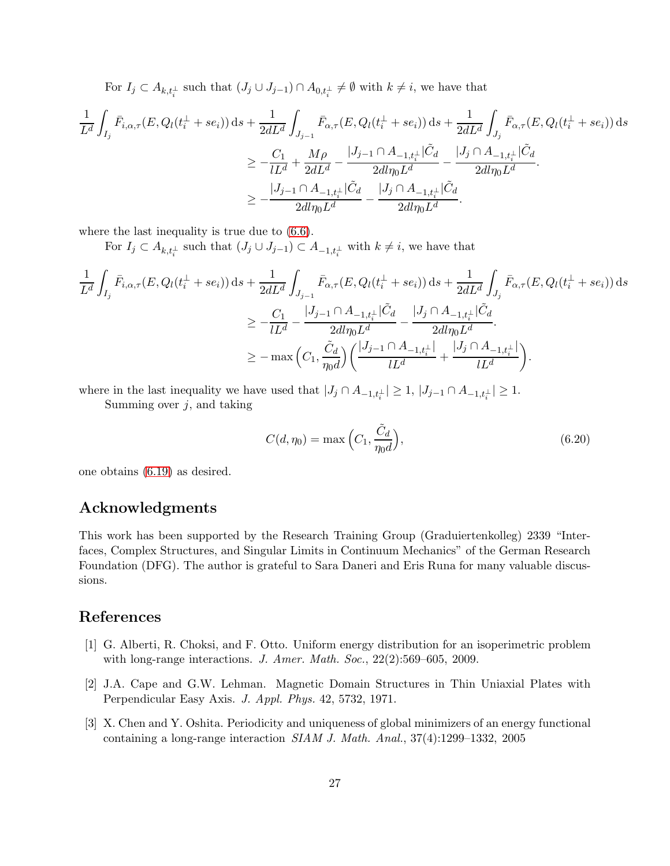For  $I_j \subset A_{k,t_i^{\perp}}$  such that  $(J_j \cup J_{j-1}) \cap A_{0,t_i^{\perp}} \neq \emptyset$  with  $k \neq i$ , we have that

$$
\frac{1}{L^{d}} \int_{I_{j}} \bar{F}_{i,\alpha,\tau}(E, Q_{l}(t_{i}^{\perp} + se_{i})) ds + \frac{1}{2dL^{d}} \int_{J_{j-1}} \bar{F}_{\alpha,\tau}(E, Q_{l}(t_{i}^{\perp} + se_{i})) ds + \frac{1}{2dL^{d}} \int_{J_{j}} \bar{F}_{\alpha,\tau}(E, Q_{l}(t_{i}^{\perp} + se_{i})) ds
$$
\n
$$
\geq -\frac{C_{1}}{lL^{d}} + \frac{M\rho}{2dL^{d}} - \frac{|J_{j-1} \cap A_{-1,t_{i}^{\perp}}| \tilde{C}_{d}}{2d l \eta_{0} L^{d}} - \frac{|J_{j} \cap A_{-1,t_{i}^{\perp}}| \tilde{C}_{d}}{2d l \eta_{0} L^{d}}.
$$
\n
$$
\geq -\frac{|J_{j-1} \cap A_{-1,t_{i}^{\perp}}| \tilde{C}_{d}}{2d l \eta_{0} L^{d}} - \frac{|J_{j} \cap A_{-1,t_{i}^{\perp}}| \tilde{C}_{d}}{2d l \eta_{0} L^{d}}.
$$

where the last inequality is true due to [\(6.6\)](#page-21-6).

For  $I_j \subset A_{k,t_i^{\perp}}$  such that  $(J_j \cup J_{j-1}) \subset A_{-1,t_i^{\perp}}$  with  $k \neq i$ , we have that

$$
\frac{1}{L^{d}} \int_{I_{j}} \bar{F}_{i,\alpha,\tau}(E, Q_{l}(t_{i}^{\perp} + se_{i})) ds + \frac{1}{2dL^{d}} \int_{J_{j-1}} \bar{F}_{\alpha,\tau}(E, Q_{l}(t_{i}^{\perp} + se_{i})) ds + \frac{1}{2dL^{d}} \int_{J_{j}} \bar{F}_{\alpha,\tau}(E, Q_{l}(t_{i}^{\perp} + se_{i})) ds
$$
\n
$$
\geq -\frac{C_{1}}{lL^{d}} - \frac{|J_{j-1} \cap A_{-1,t_{i}^{\perp}}| \tilde{C}_{d}}{2d l \eta_{0} L^{d}} - \frac{|J_{j} \cap A_{-1,t_{i}^{\perp}}| \tilde{C}_{d}}{2d l \eta_{0} L^{d}}.
$$
\n
$$
\geq -\max \Big(C_{1}, \frac{\tilde{C}_{d}}{\eta_{0} d} \Big) \Big(\frac{|J_{j-1} \cap A_{-1,t_{i}^{\perp}}|}{lL^{d}} + \frac{|J_{j} \cap A_{-1,t_{i}^{\perp}}|}{lL^{d}} \Big).
$$

where in the last inequality we have used that  $|J_j \cap A_{-1,t_i^{\perp}}| \geq 1, |J_{j-1} \cap A_{-1,t_i^{\perp}}| \geq 1.$ 

Summing over  $j$ , and taking

<span id="page-26-3"></span>
$$
C(d, \eta_0) = \max\left(C_1, \frac{\tilde{C}_d}{\eta_0 d}\right),\tag{6.20}
$$

one obtains [\(6.19\)](#page-24-3) as desired.

## Acknowledgments

This work has been supported by the Research Training Group (Graduiertenkolleg) 2339 "Interfaces, Complex Structures, and Singular Limits in Continuum Mechanics" of the German Research Foundation (DFG). The author is grateful to Sara Daneri and Eris Runa for many valuable discussions.

## <span id="page-26-1"></span>References

- [1] G. Alberti, R. Choksi, and F. Otto. Uniform energy distribution for an isoperimetric problem with long-range interactions. J. Amer. Math. Soc., 22(2):569–605, 2009.
- <span id="page-26-2"></span>[2] J.A. Cape and G.W. Lehman. Magnetic Domain Structures in Thin Uniaxial Plates with Perpendicular Easy Axis. J. Appl. Phys. 42, 5732, 1971.
- <span id="page-26-0"></span>[3] X. Chen and Y. Oshita. Periodicity and uniqueness of global minimizers of an energy functional containing a long-range interaction SIAM J. Math. Anal., 37(4):1299–1332, 2005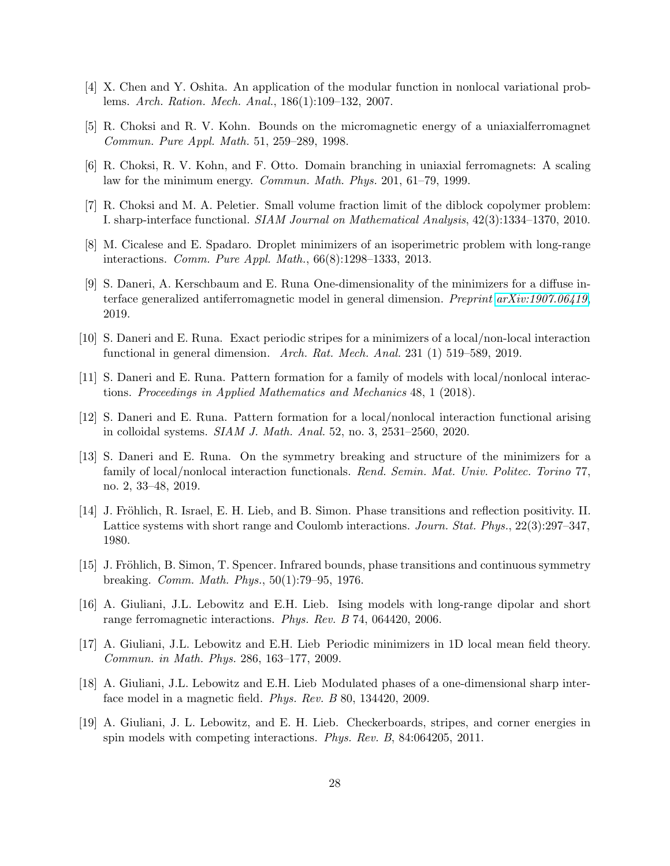- <span id="page-27-7"></span><span id="page-27-6"></span>[4] X. Chen and Y. Oshita. An application of the modular function in nonlocal variational problems. Arch. Ration. Mech. Anal., 186(1):109–132, 2007.
- <span id="page-27-8"></span>[5] R. Choksi and R. V. Kohn. Bounds on the micromagnetic energy of a uniaxialferromagnet Commun. Pure Appl. Math. 51, 259–289, 1998.
- <span id="page-27-5"></span>[6] R. Choksi, R. V. Kohn, and F. Otto. Domain branching in uniaxial ferromagnets: A scaling law for the minimum energy. Commun. Math. Phys. 201, 61–79, 1999.
- <span id="page-27-4"></span>[7] R. Choksi and M. A. Peletier. Small volume fraction limit of the diblock copolymer problem: I. sharp-interface functional. SIAM Journal on Mathematical Analysis, 42(3):1334–1370, 2010.
- <span id="page-27-9"></span>[8] M. Cicalese and E. Spadaro. Droplet minimizers of an isoperimetric problem with long-range interactions. Comm. Pure Appl. Math., 66(8):1298–1333, 2013.
- [9] S. Daneri, A. Kerschbaum and E. Runa One-dimensionality of the minimizers for a diffuse interface generalized antiferromagnetic model in general dimension. Preprint [arXiv:1907.06419](http://arxiv.org/abs/1907.06419), 2019.
- <span id="page-27-2"></span><span id="page-27-0"></span>[10] S. Daneri and E. Runa. Exact periodic stripes for a minimizers of a local/non-local interaction functional in general dimension. Arch. Rat. Mech. Anal. 231 (1) 519–589, 2019.
- <span id="page-27-10"></span>[11] S. Daneri and E. Runa. Pattern formation for a family of models with local/nonlocal interactions. Proceedings in Applied Mathematics and Mechanics 48, 1 (2018).
- <span id="page-27-11"></span>[12] S. Daneri and E. Runa. Pattern formation for a local/nonlocal interaction functional arising in colloidal systems. SIAM J. Math. Anal. 52, no. 3, 2531–2560, 2020.
- [13] S. Daneri and E. Runa. On the symmetry breaking and structure of the minimizers for a family of local/nonlocal interaction functionals. Rend. Semin. Mat. Univ. Politec. Torino 77, no. 2, 33–48, 2019.
- <span id="page-27-13"></span>[14] J. Fröhlich, R. Israel, E. H. Lieb, and B. Simon. Phase transitions and reflection positivity. II. Lattice systems with short range and Coulomb interactions. Journ. Stat. Phys., 22(3):297–347, 1980.
- <span id="page-27-12"></span><span id="page-27-3"></span>[15] J. Fröhlich, B. Simon, T. Spencer. Infrared bounds, phase transitions and continuous symmetry breaking. Comm. Math. Phys., 50(1):79–95, 1976.
- [16] A. Giuliani, J.L. Lebowitz and E.H. Lieb. Ising models with long-range dipolar and short range ferromagnetic interactions. Phys. Rev. B 74, 064420, 2006.
- <span id="page-27-14"></span>[17] A. Giuliani, J.L. Lebowitz and E.H. Lieb Periodic minimizers in 1D local mean field theory. Commun. in Math. Phys. 286, 163–177, 2009.
- <span id="page-27-15"></span>[18] A. Giuliani, J.L. Lebowitz and E.H. Lieb Modulated phases of a one-dimensional sharp interface model in a magnetic field. Phys. Rev. B 80, 134420, 2009.
- <span id="page-27-1"></span>[19] A. Giuliani, J. L. Lebowitz, and E. H. Lieb. Checkerboards, stripes, and corner energies in spin models with competing interactions. Phys. Rev. B, 84:064205, 2011.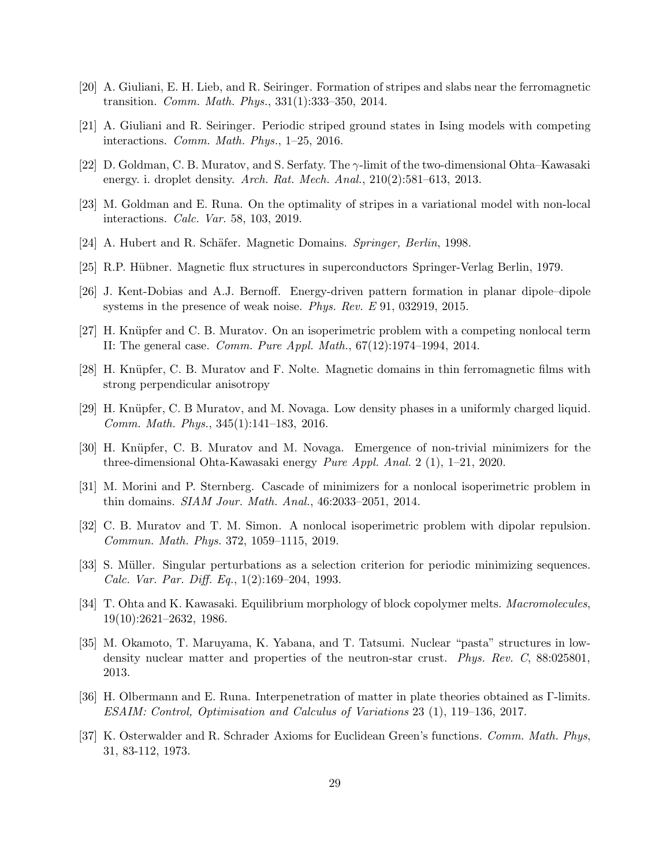- <span id="page-28-2"></span><span id="page-28-1"></span>[20] A. Giuliani, E. H. Lieb, and R. Seiringer. Formation of stripes and slabs near the ferromagnetic transition. Comm. Math. Phys., 331(1):333–350, 2014.
- <span id="page-28-8"></span>[21] A. Giuliani and R. Seiringer. Periodic striped ground states in Ising models with competing interactions. Comm. Math. Phys., 1–25, 2016.
- <span id="page-28-0"></span>[22] D. Goldman, C. B. Muratov, and S. Serfaty. The  $\gamma$ -limit of the two-dimensional Ohta–Kawasaki energy. i. droplet density. Arch. Rat. Mech. Anal., 210(2):581–613, 2013.
- <span id="page-28-11"></span>[23] M. Goldman and E. Runa. On the optimality of stripes in a variational model with non-local interactions. Calc. Var. 58, 103, 2019.
- <span id="page-28-12"></span>[24] A. Hubert and R. Schäfer. Magnetic Domains. Springer, Berlin, 1998.
- <span id="page-28-15"></span>[25] R.P. H¨ubner. Magnetic flux structures in superconductors Springer-Verlag Berlin, 1979.
- <span id="page-28-5"></span>[26] J. Kent-Dobias and A.J. Bernoff. Energy-driven pattern formation in planar dipole–dipole systems in the presence of weak noise. Phys. Rev. E 91, 032919, 2015.
- <span id="page-28-13"></span>[27] H. Knüpfer and C. B. Muratov. On an isoperimetric problem with a competing nonlocal term II: The general case. Comm. Pure Appl. Math., 67(12):1974–1994, 2014.
- <span id="page-28-6"></span>[28] H. Knüpfer, C. B. Muratov and F. Nolte. Magnetic domains in thin ferromagnetic films with strong perpendicular anisotropy
- <span id="page-28-7"></span>[29] H. Knüpfer, C. B Muratov, and M. Novaga. Low density phases in a uniformly charged liquid. Comm. Math. Phys., 345(1):141–183, 2016.
- <span id="page-28-9"></span>[30] H. Knüpfer, C. B. Muratov and M. Novaga. Emergence of non-trivial minimizers for the three-dimensional Ohta-Kawasaki energy Pure Appl. Anal. 2 (1), 1–21, 2020.
- <span id="page-28-14"></span>[31] M. Morini and P. Sternberg. Cascade of minimizers for a nonlocal isoperimetric problem in thin domains. SIAM Jour. Math. Anal., 46:2033–2051, 2014.
- <span id="page-28-3"></span>[32] C. B. Muratov and T. M. Simon. A nonlocal isoperimetric problem with dipolar repulsion. Commun. Math. Phys. 372, 1059–1115, 2019.
- [33] S. Müller. Singular perturbations as a selection criterion for periodic minimizing sequences. Calc. Var. Par. Diff. Eq., 1(2):169–204, 1993.
- <span id="page-28-4"></span>[34] T. Ohta and K. Kawasaki. Equilibrium morphology of block copolymer melts. Macromolecules, 19(10):2621–2632, 1986.
- <span id="page-28-10"></span>[35] M. Okamoto, T. Maruyama, K. Yabana, and T. Tatsumi. Nuclear "pasta" structures in lowdensity nuclear matter and properties of the neutron-star crust. *Phys. Rev. C*, 88:025801, 2013.
- <span id="page-28-16"></span>[36] H. Olbermann and E. Runa. Interpenetration of matter in plate theories obtained as Γ-limits. ESAIM: Control, Optimisation and Calculus of Variations 23 (1), 119–136, 2017.
- <span id="page-28-17"></span>[37] K. Osterwalder and R. Schrader Axioms for Euclidean Green's functions. Comm. Math. Phys, 31, 83-112, 1973.